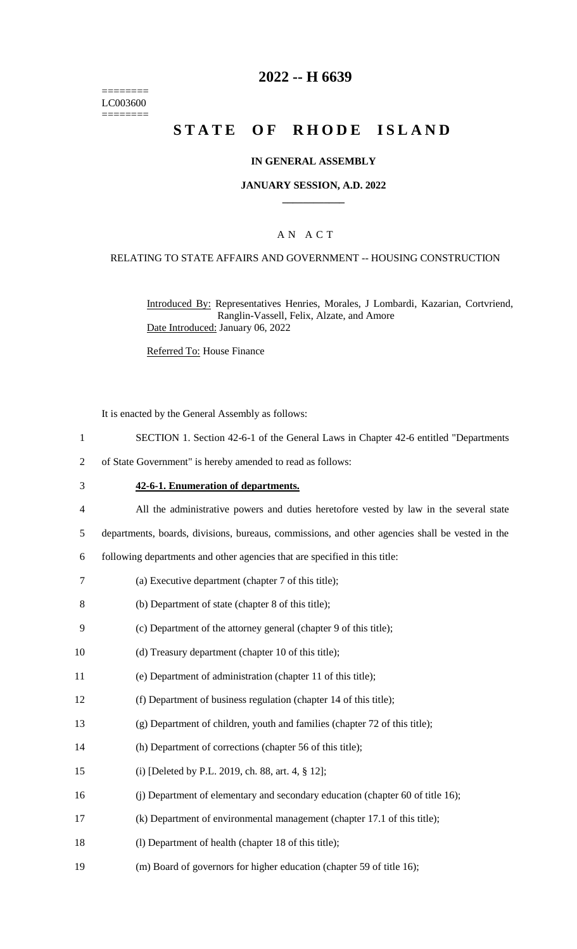======== LC003600 ========

# **2022 -- H 6639**

# **STATE OF RHODE ISLAND**

### **IN GENERAL ASSEMBLY**

### **JANUARY SESSION, A.D. 2022 \_\_\_\_\_\_\_\_\_\_\_\_**

### A N A C T

### RELATING TO STATE AFFAIRS AND GOVERNMENT -- HOUSING CONSTRUCTION

Introduced By: Representatives Henries, Morales, J Lombardi, Kazarian, Cortvriend, Ranglin-Vassell, Felix, Alzate, and Amore Date Introduced: January 06, 2022

Referred To: House Finance

It is enacted by the General Assembly as follows:

- 1 SECTION 1. Section 42-6-1 of the General Laws in Chapter 42-6 entitled "Departments
- 2 of State Government" is hereby amended to read as follows:

#### 3 **42-6-1. Enumeration of departments.**

- 4 All the administrative powers and duties heretofore vested by law in the several state
- 5 departments, boards, divisions, bureaus, commissions, and other agencies shall be vested in the

6 following departments and other agencies that are specified in this title:

- 7 (a) Executive department (chapter 7 of this title);
- 8 (b) Department of state (chapter 8 of this title);
- 9 (c) Department of the attorney general (chapter 9 of this title);
- 10 (d) Treasury department (chapter 10 of this title);
- 11 (e) Department of administration (chapter 11 of this title);
- 12 (f) Department of business regulation (chapter 14 of this title);
- 13 (g) Department of children, youth and families (chapter 72 of this title);
- 14 (h) Department of corrections (chapter 56 of this title);
- 15 (i) [Deleted by P.L. 2019, ch. 88, art. 4, § 12];
- 16 (j) Department of elementary and secondary education (chapter 60 of title 16);
- 17 (k) Department of environmental management (chapter 17.1 of this title);
- 18 (I) Department of health (chapter 18 of this title);
- 19 (m) Board of governors for higher education (chapter 59 of title 16);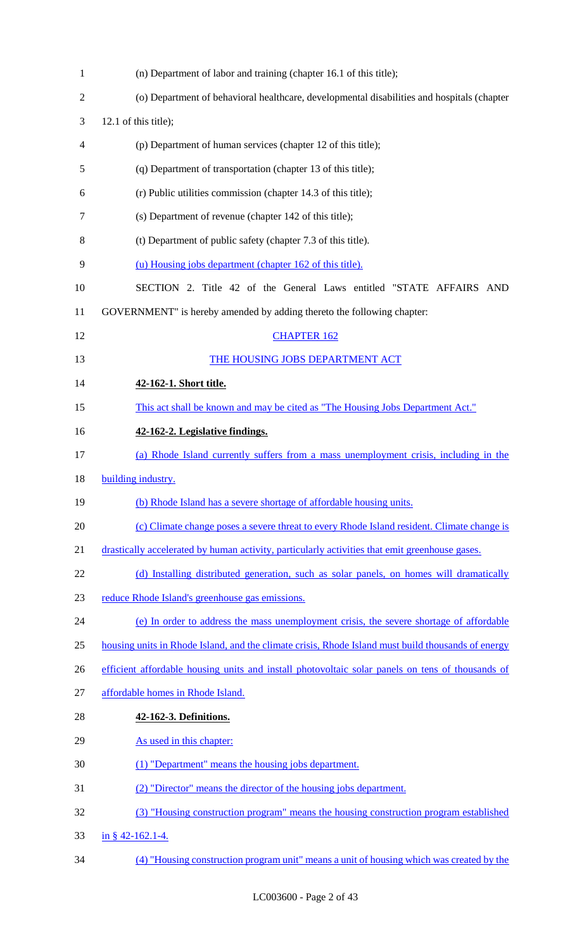| $\mathbf{1}$   | (n) Department of labor and training (chapter 16.1 of this title);                                 |
|----------------|----------------------------------------------------------------------------------------------------|
| $\overline{2}$ | (o) Department of behavioral healthcare, developmental disabilities and hospitals (chapter         |
| 3              | 12.1 of this title);                                                                               |
| 4              | (p) Department of human services (chapter 12 of this title);                                       |
| 5              | (q) Department of transportation (chapter 13 of this title);                                       |
| 6              | (r) Public utilities commission (chapter 14.3 of this title);                                      |
| 7              | (s) Department of revenue (chapter 142 of this title);                                             |
| 8              | (t) Department of public safety (chapter 7.3 of this title).                                       |
| 9              | (u) Housing jobs department (chapter 162 of this title).                                           |
| 10             | SECTION 2. Title 42 of the General Laws entitled "STATE AFFAIRS AND                                |
| 11             | GOVERNMENT" is hereby amended by adding thereto the following chapter:                             |
| 12             | <b>CHAPTER 162</b>                                                                                 |
| 13             | THE HOUSING JOBS DEPARTMENT ACT                                                                    |
| 14             | 42-162-1. Short title.                                                                             |
| 15             | This act shall be known and may be cited as "The Housing Jobs Department Act."                     |
| 16             | 42-162-2. Legislative findings.                                                                    |
| 17             | (a) Rhode Island currently suffers from a mass unemployment crisis, including in the               |
| 18             | building industry.                                                                                 |
| 19             | (b) Rhode Island has a severe shortage of affordable housing units.                                |
| 20             | (c) Climate change poses a severe threat to every Rhode Island resident. Climate change is         |
| 21             | drastically accelerated by human activity, particularly activities that emit greenhouse gases.     |
| 22             | (d) Installing distributed generation, such as solar panels, on homes will dramatically            |
| 23             | reduce Rhode Island's greenhouse gas emissions.                                                    |
| 24             | (e) In order to address the mass unemployment crisis, the severe shortage of affordable            |
| 25             | housing units in Rhode Island, and the climate crisis, Rhode Island must build thousands of energy |
| 26             | efficient affordable housing units and install photovoltaic solar panels on tens of thousands of   |
| 27             | affordable homes in Rhode Island.                                                                  |
| 28             | 42-162-3. Definitions.                                                                             |
| 29             | As used in this chapter:                                                                           |
| 30             | (1) "Department" means the housing jobs department.                                                |
| 31             | (2) "Director" means the director of the housing jobs department.                                  |
| 32             | (3) "Housing construction program" means the housing construction program established              |
| 33             | in § 42-162.1-4.                                                                                   |
| 34             | (4) "Housing construction program unit" means a unit of housing which was created by the           |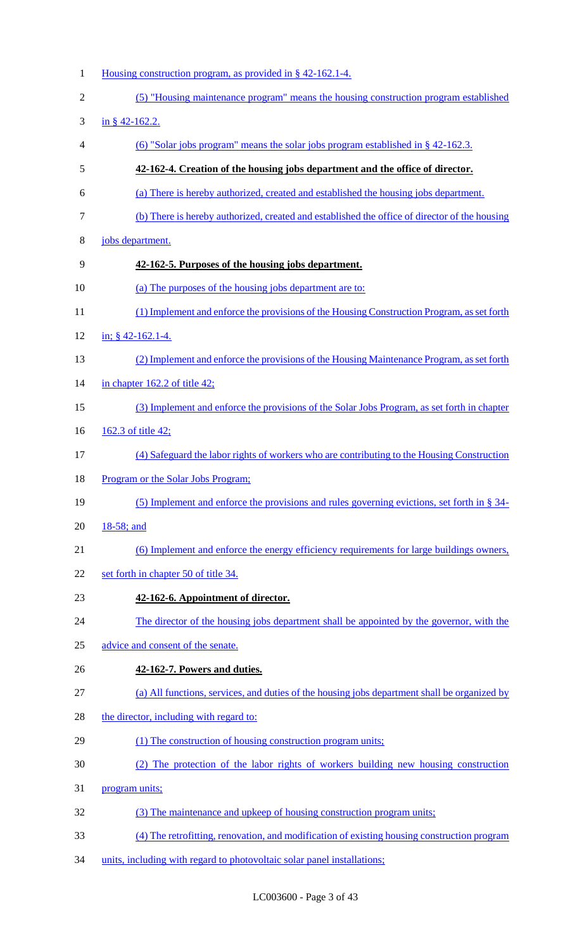- 1 Housing construction program, as provided in § 42-162.1-4. (5) "Housing maintenance program" means the housing construction program established in § 42-162.2. (6) "Solar jobs program" means the solar jobs program established in § 42-162.3. **42-162-4. Creation of the housing jobs department and the office of director.**  (a) There is hereby authorized, created and established the housing jobs department. (b) There is hereby authorized, created and established the office of director of the housing jobs department. **42-162-5. Purposes of the housing jobs department.**  (a) The purposes of the housing jobs department are to: 11 (1) Implement and enforce the provisions of the Housing Construction Program, as set forth in; § 42-162.1-4. (2) Implement and enforce the provisions of the Housing Maintenance Program, as set forth 14 <u>in chapter 162.2 of title 42;</u> (3) Implement and enforce the provisions of the Solar Jobs Program, as set forth in chapter 162.3 of title 42; (4) Safeguard the labor rights of workers who are contributing to the Housing Construction Program or the Solar Jobs Program; (5) Implement and enforce the provisions and rules governing evictions, set forth in § 34- 18-58; and (6) Implement and enforce the energy efficiency requirements for large buildings owners, 22 set forth in chapter 50 of title 34. **42-162-6. Appointment of director.**  24 The director of the housing jobs department shall be appointed by the governor, with the advice and consent of the senate. **42-162-7. Powers and duties.**  (a) All functions, services, and duties of the housing jobs department shall be organized by 28 the director, including with regard to: (1) The construction of housing construction program units; (2) The protection of the labor rights of workers building new housing construction program units; (3) The maintenance and upkeep of housing construction program units; (4) The retrofitting, renovation, and modification of existing housing construction program
- units, including with regard to photovoltaic solar panel installations;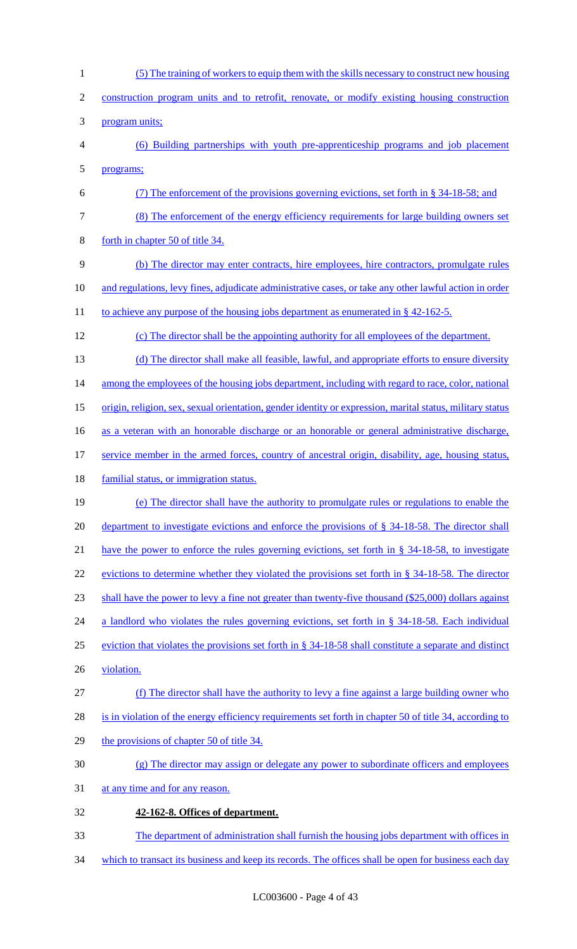(5) The training of workers to equip them with the skills necessary to construct new housing construction program units and to retrofit, renovate, or modify existing housing construction program units; (6) Building partnerships with youth pre-apprenticeship programs and job placement programs; (7) The enforcement of the provisions governing evictions, set forth in § 34-18-58; and (8) The enforcement of the energy efficiency requirements for large building owners set forth in chapter 50 of title 34. (b) The director may enter contracts, hire employees, hire contractors, promulgate rules 10 and regulations, levy fines, adjudicate administrative cases, or take any other lawful action in order 11 to achieve any purpose of the housing jobs department as enumerated in § 42-162-5. (c) The director shall be the appointing authority for all employees of the department. (d) The director shall make all feasible, lawful, and appropriate efforts to ensure diversity 14 among the employees of the housing jobs department, including with regard to race, color, national origin, religion, sex, sexual orientation, gender identity or expression, marital status, military status as a veteran with an honorable discharge or an honorable or general administrative discharge, service member in the armed forces, country of ancestral origin, disability, age, housing status, 18 familial status, or immigration status. (e) The director shall have the authority to promulgate rules or regulations to enable the 20 department to investigate evictions and enforce the provisions of § 34-18-58. The director shall have the power to enforce the rules governing evictions, set forth in § 34-18-58, to investigate 22 evictions to determine whether they violated the provisions set forth in § 34-18-58. The director shall have the power to levy a fine not greater than twenty-five thousand (\$25,000) dollars against 24 a landlord who violates the rules governing evictions, set forth in § 34-18-58. Each individual eviction that violates the provisions set forth in § 34-18-58 shall constitute a separate and distinct 26 violation. (f) The director shall have the authority to levy a fine against a large building owner who is in violation of the energy efficiency requirements set forth in chapter 50 of title 34, according to 29 the provisions of chapter 50 of title 34. (g) The director may assign or delegate any power to subordinate officers and employees at any time and for any reason. **42-162-8. Offices of department.**  The department of administration shall furnish the housing jobs department with offices in 34 which to transact its business and keep its records. The offices shall be open for business each day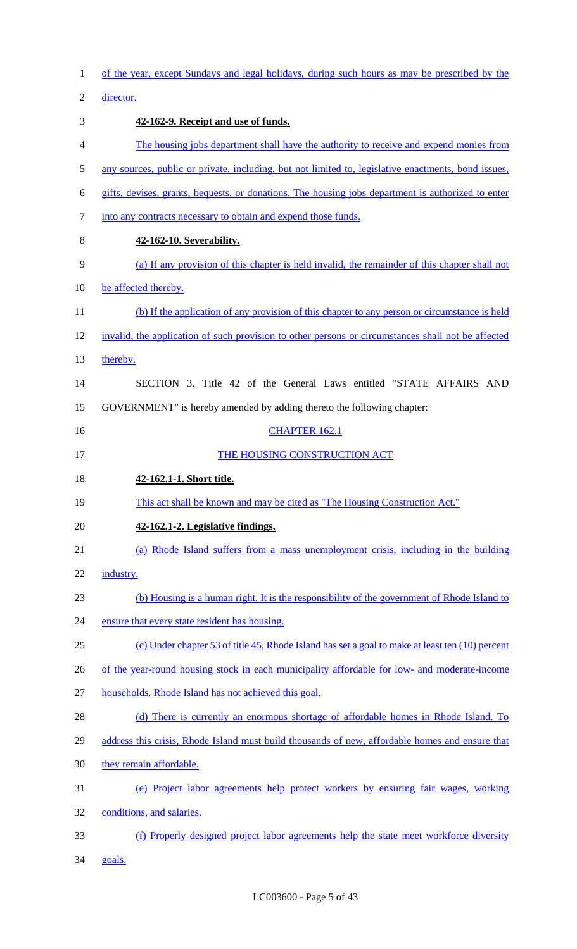| $\mathbf{1}$   | of the year, except Sundays and legal holidays, during such hours as may be prescribed by the       |
|----------------|-----------------------------------------------------------------------------------------------------|
| $\overline{2}$ | director.                                                                                           |
| 3              | 42-162-9. Receipt and use of funds.                                                                 |
| 4              | The housing jobs department shall have the authority to receive and expend monies from              |
| 5              | any sources, public or private, including, but not limited to, legislative enactments, bond issues, |
| 6              | gifts, devises, grants, bequests, or donations. The housing jobs department is authorized to enter  |
| $\tau$         | into any contracts necessary to obtain and expend those funds.                                      |
| 8              | 42-162-10. Severability.                                                                            |
| 9              | (a) If any provision of this chapter is held invalid, the remainder of this chapter shall not       |
| 10             | be affected thereby.                                                                                |
| 11             | (b) If the application of any provision of this chapter to any person or circumstance is held       |
| 12             | invalid, the application of such provision to other persons or circumstances shall not be affected  |
| 13             | thereby.                                                                                            |
| 14             | SECTION 3. Title 42 of the General Laws entitled "STATE AFFAIRS AND                                 |
| 15             | GOVERNMENT" is hereby amended by adding thereto the following chapter:                              |
| 16             | <b>CHAPTER 162.1</b>                                                                                |
| 17             | THE HOUSING CONSTRUCTION ACT                                                                        |
|                |                                                                                                     |
| 18             | 42-162.1-1. Short title.                                                                            |
| 19             | This act shall be known and may be cited as "The Housing Construction Act."                         |
| 20             | 42-162.1-2. Legislative findings.                                                                   |
| 21             | (a) Rhode Island suffers from a mass unemployment crisis, including in the building                 |
| 22             | industry.                                                                                           |
| 23             | (b) Housing is a human right. It is the responsibility of the government of Rhode Island to         |
| 24             | ensure that every state resident has housing.                                                       |
| 25             | (c) Under chapter 53 of title 45, Rhode Island has set a goal to make at least ten (10) percent     |
| 26             | of the year-round housing stock in each municipality affordable for low- and moderate-income        |
| 27             | households. Rhode Island has not achieved this goal.                                                |
| 28             | (d) There is currently an enormous shortage of affordable homes in Rhode Island. To                 |
| 29             | address this crisis, Rhode Island must build thousands of new, affordable homes and ensure that     |
| 30             | they remain affordable.                                                                             |
| 31             | (e) Project labor agreements help protect workers by ensuring fair wages, working                   |
| 32             | conditions, and salaries.                                                                           |
| 33             | (f) Properly designed project labor agreements help the state meet workforce diversity              |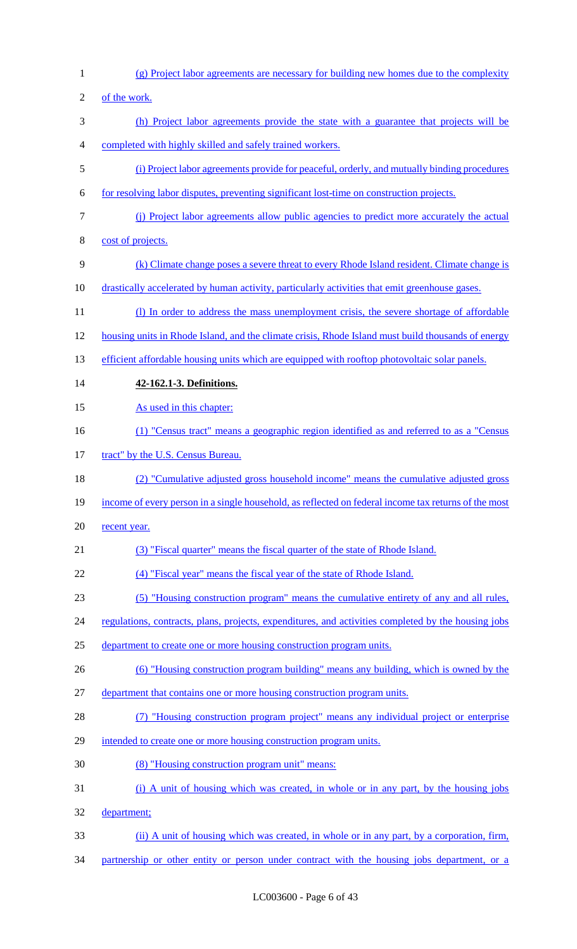- (g) Project labor agreements are necessary for building new homes due to the complexity of the work. (h) Project labor agreements provide the state with a guarantee that projects will be completed with highly skilled and safely trained workers. (i) Project labor agreements provide for peaceful, orderly, and mutually binding procedures for resolving labor disputes, preventing significant lost-time on construction projects. (j) Project labor agreements allow public agencies to predict more accurately the actual cost of projects. (k) Climate change poses a severe threat to every Rhode Island resident. Climate change is drastically accelerated by human activity, particularly activities that emit greenhouse gases. 11 (l) In order to address the mass unemployment crisis, the severe shortage of affordable housing units in Rhode Island, and the climate crisis, Rhode Island must build thousands of energy 13 efficient affordable housing units which are equipped with rooftop photovoltaic solar panels. **42-162.1-3. Definitions.**  15 As used in this chapter: (1) "Census tract" means a geographic region identified as and referred to as a "Census tract" by the U.S. Census Bureau. (2) "Cumulative adjusted gross household income" means the cumulative adjusted gross income of every person in a single household, as reflected on federal income tax returns of the most 20 recent year. (3) "Fiscal quarter" means the fiscal quarter of the state of Rhode Island. (4) "Fiscal year" means the fiscal year of the state of Rhode Island. (5) "Housing construction program" means the cumulative entirety of any and all rules, 24 regulations, contracts, plans, projects, expenditures, and activities completed by the housing jobs department to create one or more housing construction program units. (6) "Housing construction program building" means any building, which is owned by the department that contains one or more housing construction program units. 28 (7) "Housing construction program project" means any individual project or enterprise intended to create one or more housing construction program units. (8) "Housing construction program unit" means: (i) A unit of housing which was created, in whole or in any part, by the housing jobs department; (ii) A unit of housing which was created, in whole or in any part, by a corporation, firm,
- 34 partnership or other entity or person under contract with the housing jobs department, or a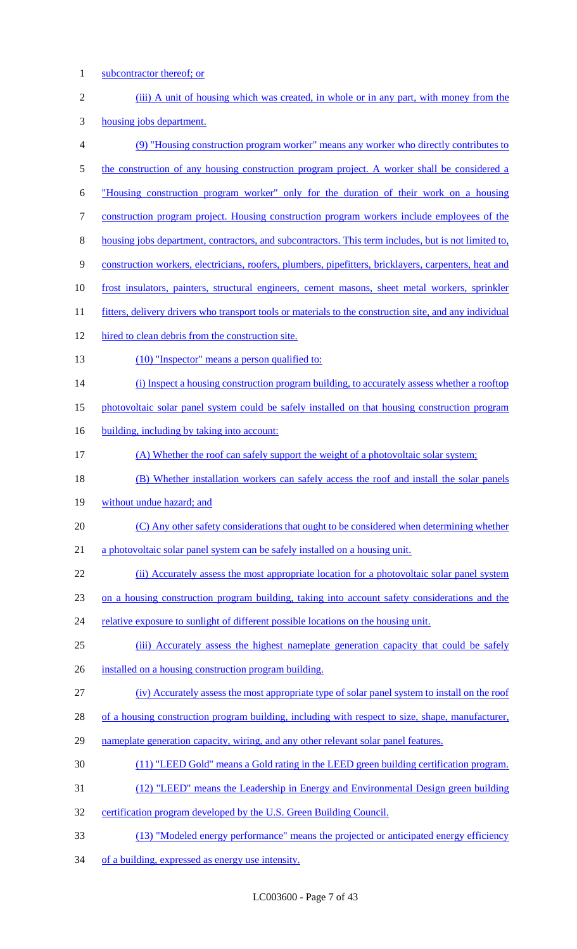1 subcontractor thereof; or

| $\sqrt{2}$       | (iii) A unit of housing which was created, in whole or in any part, with money from the                 |
|------------------|---------------------------------------------------------------------------------------------------------|
| 3                | housing jobs department.                                                                                |
| $\overline{4}$   | (9) "Housing construction program worker" means any worker who directly contributes to                  |
| $\mathfrak{S}$   | the construction of any housing construction program project. A worker shall be considered a            |
| 6                | "Housing construction program worker" only for the duration of their work on a housing                  |
| $\boldsymbol{7}$ | construction program project. Housing construction program workers include employees of the             |
| $\,8\,$          | housing jobs department, contractors, and subcontractors. This term includes, but is not limited to,    |
| $\mathbf{9}$     | construction workers, electricians, roofers, plumbers, pipefitters, bricklayers, carpenters, heat and   |
| 10               | frost insulators, painters, structural engineers, cement masons, sheet metal workers, sprinkler         |
| 11               | fitters, delivery drivers who transport tools or materials to the construction site, and any individual |
| 12               | hired to clean debris from the construction site.                                                       |
| 13               | (10) "Inspector" means a person qualified to:                                                           |
| 14               | (i) Inspect a housing construction program building, to accurately assess whether a rooftop             |
| 15               | photovoltaic solar panel system could be safely installed on that housing construction program          |
| 16               | building, including by taking into account:                                                             |
| 17               | (A) Whether the roof can safely support the weight of a photovoltaic solar system;                      |
| 18               | (B) Whether installation workers can safely access the roof and install the solar panels                |
| 19               | without undue hazard; and                                                                               |
| 20               | (C) Any other safety considerations that ought to be considered when determining whether                |
| 21               | a photovoltaic solar panel system can be safely installed on a housing unit.                            |
| 22               | (ii) Accurately assess the most appropriate location for a photovoltaic solar panel system              |
| 23               | on a housing construction program building, taking into account safety considerations and the           |
| 24               | relative exposure to sunlight of different possible locations on the housing unit.                      |
| 25               | (iii) Accurately assess the highest nameplate generation capacity that could be safely                  |
| 26               | installed on a housing construction program building.                                                   |
| 27               | (iv) Accurately assess the most appropriate type of solar panel system to install on the roof           |
| 28               | of a housing construction program building, including with respect to size, shape, manufacturer,        |
| 29               | nameplate generation capacity, wiring, and any other relevant solar panel features.                     |
| 30               | (11) "LEED Gold" means a Gold rating in the LEED green building certification program.                  |
| 31               | (12) "LEED" means the Leadership in Energy and Environmental Design green building                      |
| 32               | certification program developed by the U.S. Green Building Council.                                     |
| 33               | (13) "Modeled energy performance" means the projected or anticipated energy efficiency                  |
| 34               | of a building, expressed as energy use intensity.                                                       |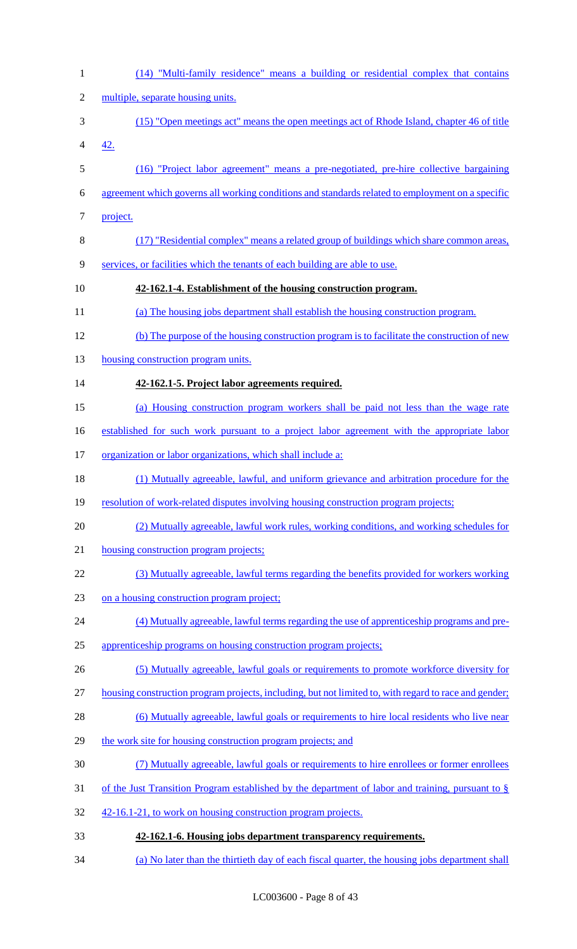| $\mathbf{1}$   | (14) "Multi-family residence" means a building or residential complex that contains                   |
|----------------|-------------------------------------------------------------------------------------------------------|
| $\mathfrak{2}$ | multiple, separate housing units.                                                                     |
| 3              | (15) "Open meetings act" means the open meetings act of Rhode Island, chapter 46 of title             |
| 4              | 42.                                                                                                   |
| 5              | (16) "Project labor agreement" means a pre-negotiated, pre-hire collective bargaining                 |
| 6              | agreement which governs all working conditions and standards related to employment on a specific      |
| 7              | project.                                                                                              |
| $8\,$          | (17) "Residential complex" means a related group of buildings which share common areas,               |
| $\mathbf{9}$   | services, or facilities which the tenants of each building are able to use.                           |
| 10             | 42-162.1-4. Establishment of the housing construction program.                                        |
| 11             | (a) The housing jobs department shall establish the housing construction program.                     |
| 12             | (b) The purpose of the housing construction program is to facilitate the construction of new          |
| 13             | housing construction program units.                                                                   |
| 14             | 42-162.1-5. Project labor agreements required.                                                        |
| 15             | (a) Housing construction program workers shall be paid not less than the wage rate                    |
| 16             | established for such work pursuant to a project labor agreement with the appropriate labor            |
| 17             | organization or labor organizations, which shall include a:                                           |
| 18             | (1) Mutually agreeable, lawful, and uniform grievance and arbitration procedure for the               |
| 19             | resolution of work-related disputes involving housing construction program projects;                  |
| 20             | (2) Mutually agreeable, lawful work rules, working conditions, and working schedules for              |
| 21             | housing construction program projects;                                                                |
| 22             | (3) Mutually agreeable, lawful terms regarding the benefits provided for workers working              |
| 23             | on a housing construction program project;                                                            |
| 24             | (4) Mutually agreeable, lawful terms regarding the use of apprenticeship programs and pre-            |
| 25             | apprenticeship programs on housing construction program projects;                                     |
| 26             | (5) Mutually agreeable, lawful goals or requirements to promote workforce diversity for               |
| 27             | housing construction program projects, including, but not limited to, with regard to race and gender; |
| 28             | (6) Mutually agreeable, lawful goals or requirements to hire local residents who live near            |
| 29             | the work site for housing construction program projects; and                                          |
| 30             | (7) Mutually agreeable, lawful goals or requirements to hire enrollees or former enrollees            |
| 31             | of the Just Transition Program established by the department of labor and training, pursuant to $\S$  |
| 32             | 42-16.1-21, to work on housing construction program projects.                                         |
| 33             | 42-162.1-6. Housing jobs department transparency requirements.                                        |
| 34             | (a) No later than the thirtieth day of each fiscal quarter, the housing jobs department shall         |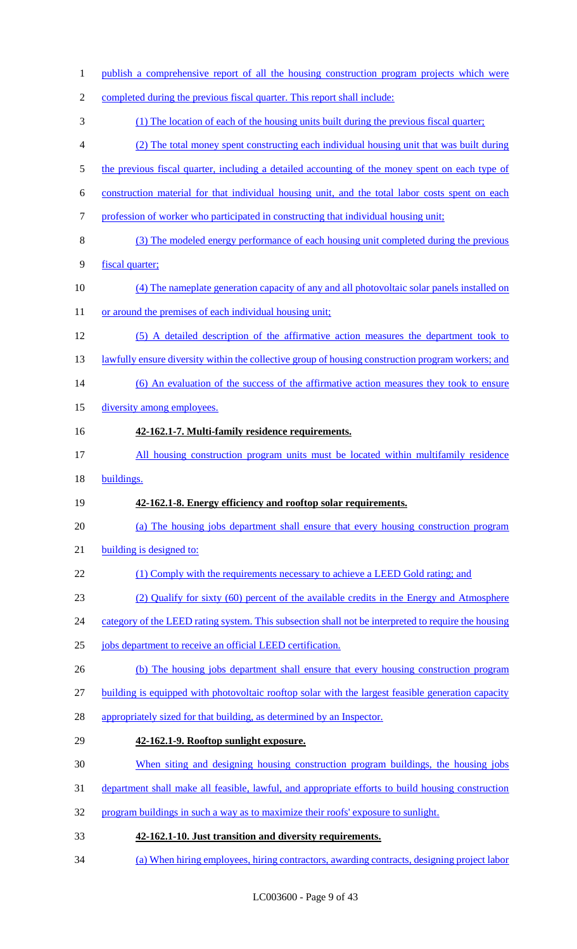| $\mathbf{1}$   | publish a comprehensive report of all the housing construction program projects which were          |
|----------------|-----------------------------------------------------------------------------------------------------|
| $\overline{2}$ | completed during the previous fiscal quarter. This report shall include:                            |
| 3              | (1) The location of each of the housing units built during the previous fiscal quarter;             |
| 4              | (2) The total money spent constructing each individual housing unit that was built during           |
| 5              | the previous fiscal quarter, including a detailed accounting of the money spent on each type of     |
| 6              | construction material for that individual housing unit, and the total labor costs spent on each     |
| 7              | profession of worker who participated in constructing that individual housing unit;                 |
| 8              | (3) The modeled energy performance of each housing unit completed during the previous               |
| 9              | fiscal quarter;                                                                                     |
| 10             | (4) The nameplate generation capacity of any and all photovoltaic solar panels installed on         |
| 11             | or around the premises of each individual housing unit;                                             |
| 12             | (5) A detailed description of the affirmative action measures the department took to                |
| 13             | lawfully ensure diversity within the collective group of housing construction program workers; and  |
| 14             | (6) An evaluation of the success of the affirmative action measures they took to ensure             |
| 15             | diversity among employees.                                                                          |
| 16             | 42-162.1-7. Multi-family residence requirements.                                                    |
| 17             | All housing construction program units must be located within multifamily residence                 |
| 18             | buildings.                                                                                          |
| 19             | 42-162.1-8. Energy efficiency and rooftop solar requirements.                                       |
| 20             | (a) The housing jobs department shall ensure that every housing construction program                |
| 21             | building is designed to:                                                                            |
| 22             | (1) Comply with the requirements necessary to achieve a LEED Gold rating; and                       |
| 23             | (2) Qualify for sixty (60) percent of the available credits in the Energy and Atmosphere            |
| 24             | category of the LEED rating system. This subsection shall not be interpreted to require the housing |
| 25             | jobs department to receive an official LEED certification.                                          |
| 26             | (b) The housing jobs department shall ensure that every housing construction program                |
| 27             | building is equipped with photovoltaic rooftop solar with the largest feasible generation capacity  |
| 28             | appropriately sized for that building, as determined by an Inspector.                               |
| 29             | 42-162.1-9. Rooftop sunlight exposure.                                                              |
| 30             | When siting and designing housing construction program buildings, the housing jobs                  |
|                | department shall make all feasible, lawful, and appropriate efforts to build housing construction   |
| 32             | program buildings in such a way as to maximize their roofs' exposure to sunlight.                   |
| 33             | 42-162.1-10. Just transition and diversity requirements.                                            |
| 34             | (a) When hiring employees, hiring contractors, awarding contracts, designing project labor          |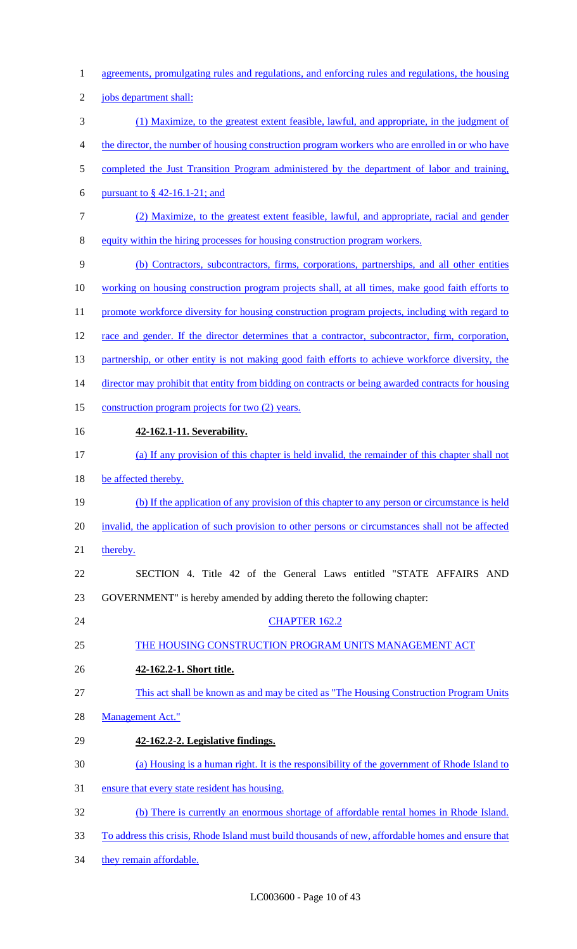agreements, promulgating rules and regulations, and enforcing rules and regulations, the housing jobs department shall: (1) Maximize, to the greatest extent feasible, lawful, and appropriate, in the judgment of the director, the number of housing construction program workers who are enrolled in or who have 5 completed the Just Transition Program administered by the department of labor and training, 6 pursuant to  $\frac{6}{9}$  42-16.1-21; and (2) Maximize, to the greatest extent feasible, lawful, and appropriate, racial and gender equity within the hiring processes for housing construction program workers. (b) Contractors, subcontractors, firms, corporations, partnerships, and all other entities working on housing construction program projects shall, at all times, make good faith efforts to 11 promote workforce diversity for housing construction program projects, including with regard to 12 race and gender. If the director determines that a contractor, subcontractor, firm, corporation, 13 partnership, or other entity is not making good faith efforts to achieve workforce diversity, the 14 director may prohibit that entity from bidding on contracts or being awarded contracts for housing 15 construction program projects for two (2) years. **42-162.1-11. Severability.**  (a) If any provision of this chapter is held invalid, the remainder of this chapter shall not be affected thereby. (b) If the application of any provision of this chapter to any person or circumstance is held invalid, the application of such provision to other persons or circumstances shall not be affected 21 thereby. SECTION 4. Title 42 of the General Laws entitled "STATE AFFAIRS AND GOVERNMENT" is hereby amended by adding thereto the following chapter: 24 CHAPTER 162.2 THE HOUSING CONSTRUCTION PROGRAM UNITS MANAGEMENT ACT **42-162.2-1. Short title.**  This act shall be known as and may be cited as "The Housing Construction Program Units Management Act." **42-162.2-2. Legislative findings.**  (a) Housing is a human right. It is the responsibility of the government of Rhode Island to ensure that every state resident has housing. (b) There is currently an enormous shortage of affordable rental homes in Rhode Island. To address this crisis, Rhode Island must build thousands of new, affordable homes and ensure that 34 they remain affordable.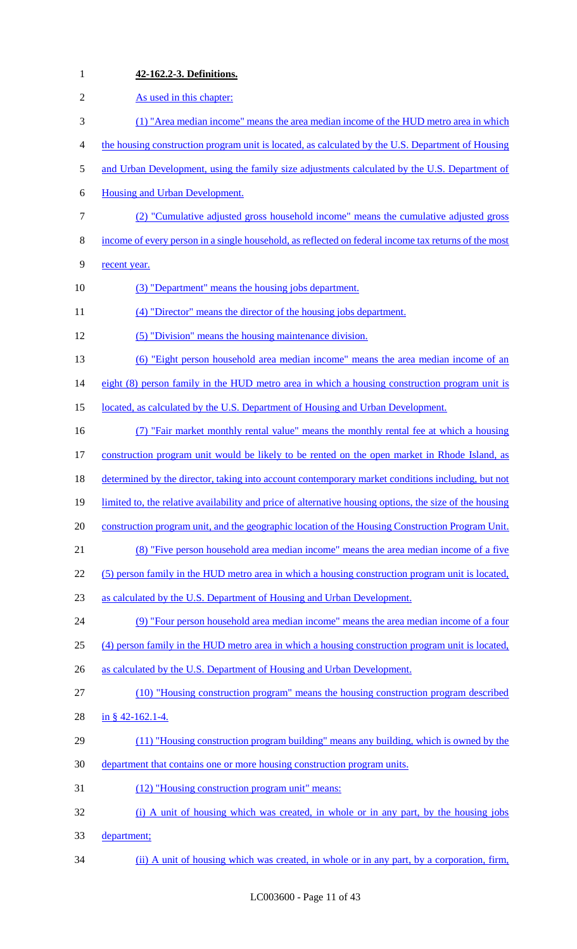| $\mathbf{1}$   | 42-162.2-3. Definitions.                                                                                |
|----------------|---------------------------------------------------------------------------------------------------------|
| $\mathfrak{2}$ | As used in this chapter:                                                                                |
| 3              | (1) "Area median income" means the area median income of the HUD metro area in which                    |
| 4              | the housing construction program unit is located, as calculated by the U.S. Department of Housing       |
| 5              | and Urban Development, using the family size adjustments calculated by the U.S. Department of           |
| 6              | <b>Housing and Urban Development.</b>                                                                   |
| $\tau$         | (2) "Cumulative adjusted gross household income" means the cumulative adjusted gross                    |
| 8              | income of every person in a single household, as reflected on federal income tax returns of the most    |
| 9              | recent year.                                                                                            |
| 10             | (3) "Department" means the housing jobs department.                                                     |
| 11             | (4) "Director" means the director of the housing jobs department.                                       |
| 12             | (5) "Division" means the housing maintenance division.                                                  |
| 13             | (6) "Eight person household area median income" means the area median income of an                      |
| 14             | eight (8) person family in the HUD metro area in which a housing construction program unit is           |
| 15             | located, as calculated by the U.S. Department of Housing and Urban Development.                         |
| 16             | (7) "Fair market monthly rental value" means the monthly rental fee at which a housing                  |
| 17             | construction program unit would be likely to be rented on the open market in Rhode Island, as           |
| 18             | determined by the director, taking into account contemporary market conditions including, but not       |
| 19             | limited to, the relative availability and price of alternative housing options, the size of the housing |
| 20             | construction program unit, and the geographic location of the Housing Construction Program Unit.        |
| 21             | (8) "Five person household area median income" means the area median income of a five                   |
| 22             | (5) person family in the HUD metro area in which a housing construction program unit is located,        |
| 23             | as calculated by the U.S. Department of Housing and Urban Development.                                  |
| 24             | (9) "Four person household area median income" means the area median income of a four                   |
| 25             | (4) person family in the HUD metro area in which a housing construction program unit is located,        |
| 26             | as calculated by the U.S. Department of Housing and Urban Development.                                  |
| 27             | (10) "Housing construction program" means the housing construction program described                    |
| 28             | in § 42-162.1-4.                                                                                        |
| 29             | (11) "Housing construction program building" means any building, which is owned by the                  |
| 30             | department that contains one or more housing construction program units.                                |
| 31             | (12) "Housing construction program unit" means:                                                         |
| 32             | (i) A unit of housing which was created, in whole or in any part, by the housing jobs                   |
| 33             | department;                                                                                             |
| 34             | (ii) A unit of housing which was created, in whole or in any part, by a corporation, firm,              |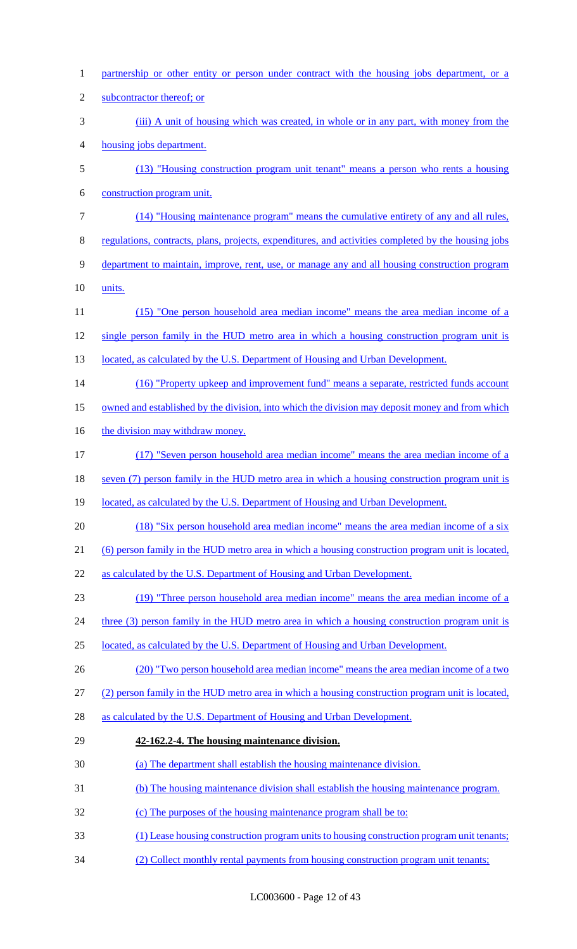| $\mathbf{1}$   | partnership or other entity or person under contract with the housing jobs department, or a         |
|----------------|-----------------------------------------------------------------------------------------------------|
| $\overline{c}$ | subcontractor thereof; or                                                                           |
| 3              | (iii) A unit of housing which was created, in whole or in any part, with money from the             |
| 4              | housing jobs department.                                                                            |
| 5              | (13) "Housing construction program unit tenant" means a person who rents a housing                  |
| 6              | construction program unit.                                                                          |
| 7              | (14) "Housing maintenance program" means the cumulative entirety of any and all rules,              |
| 8              | regulations, contracts, plans, projects, expenditures, and activities completed by the housing jobs |
| 9              | department to maintain, improve, rent, use, or manage any and all housing construction program      |
| 10             | units.                                                                                              |
| 11             | (15) "One person household area median income" means the area median income of a                    |
| 12             | single person family in the HUD metro area in which a housing construction program unit is          |
| 13             | located, as calculated by the U.S. Department of Housing and Urban Development.                     |
| 14             | (16) "Property upkeep and improvement fund" means a separate, restricted funds account              |
| 15             | owned and established by the division, into which the division may deposit money and from which     |
| 16             | the division may withdraw money.                                                                    |
| 17             | (17) "Seven person household area median income" means the area median income of a                  |
| 18             | seven (7) person family in the HUD metro area in which a housing construction program unit is       |
| 19             | located, as calculated by the U.S. Department of Housing and Urban Development.                     |
| 20             | (18) "Six person household area median income" means the area median income of a six                |
| 21             | (6) person family in the HUD metro area in which a housing construction program unit is located,    |
| 22             | as calculated by the U.S. Department of Housing and Urban Development.                              |
| 23             | (19) "Three person household area median income" means the area median income of a                  |
| 24             | three (3) person family in the HUD metro area in which a housing construction program unit is       |
| 25             | located, as calculated by the U.S. Department of Housing and Urban Development.                     |
| 26             | (20) "Two person household area median income" means the area median income of a two                |
| 27             | (2) person family in the HUD metro area in which a housing construction program unit is located,    |
| 28             | as calculated by the U.S. Department of Housing and Urban Development.                              |
| 29             | 42-162.2-4. The housing maintenance division.                                                       |
| 30             | (a) The department shall establish the housing maintenance division.                                |
| 31             | (b) The housing maintenance division shall establish the housing maintenance program.               |
| 32             | (c) The purposes of the housing maintenance program shall be to:                                    |
| 33             | (1) Lease housing construction program units to housing construction program unit tenants;          |
| 34             | (2) Collect monthly rental payments from housing construction program unit tenants;                 |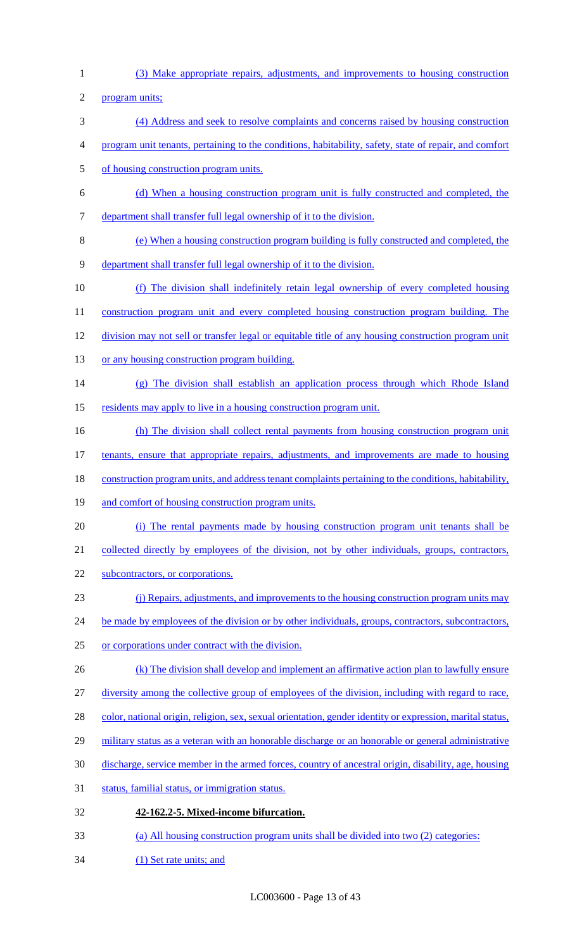(3) Make appropriate repairs, adjustments, and improvements to housing construction

program units;

- (4) Address and seek to resolve complaints and concerns raised by housing construction
- program unit tenants, pertaining to the conditions, habitability, safety, state of repair, and comfort
- of housing construction program units.
- (d) When a housing construction program unit is fully constructed and completed, the department shall transfer full legal ownership of it to the division.
- (e) When a housing construction program building is fully constructed and completed, the
- department shall transfer full legal ownership of it to the division.
- (f) The division shall indefinitely retain legal ownership of every completed housing
- 11 construction program unit and every completed housing construction program building. The
- division may not sell or transfer legal or equitable title of any housing construction program unit
- 13 or any housing construction program building.
- (g) The division shall establish an application process through which Rhode Island
- 15 residents may apply to live in a housing construction program unit.
- 16 (h) The division shall collect rental payments from housing construction program unit
- tenants, ensure that appropriate repairs, adjustments, and improvements are made to housing
- 18 construction program units, and address tenant complaints pertaining to the conditions, habitability,
- 19 and comfort of housing construction program units.
- (i) The rental payments made by housing construction program unit tenants shall be
- 21 collected directly by employees of the division, not by other individuals, groups, contractors,
- 22 subcontractors, or corporations.
- (j) Repairs, adjustments, and improvements to the housing construction program units may
- 24 be made by employees of the division or by other individuals, groups, contractors, subcontractors,
- or corporations under contract with the division.
- 26 (k) The division shall develop and implement an affirmative action plan to lawfully ensure
- diversity among the collective group of employees of the division, including with regard to race,
- 28 color, national origin, religion, sex, sexual orientation, gender identity or expression, marital status,
- 29 military status as a veteran with an honorable discharge or an honorable or general administrative
- discharge, service member in the armed forces, country of ancestral origin, disability, age, housing
- status, familial status, or immigration status.
- **42-162.2-5. Mixed-income bifurcation.**
- (a) All housing construction program units shall be divided into two (2) categories:
- (1) Set rate units; and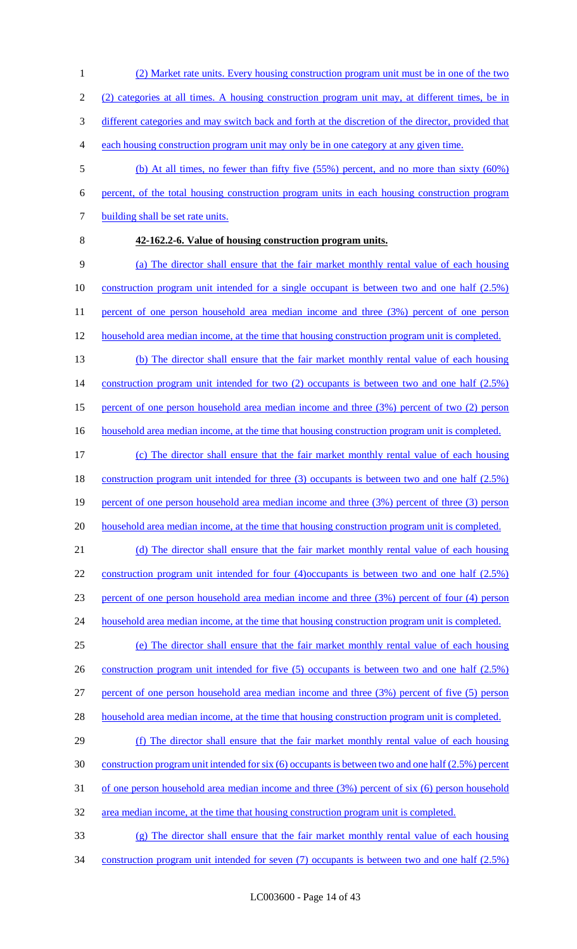- (2) Market rate units. Every housing construction program unit must be in one of the two
- (2) categories at all times. A housing construction program unit may, at different times, be in
- different categories and may switch back and forth at the discretion of the director, provided that
- each housing construction program unit may only be in one category at any given time.
- (b) At all times, no fewer than fifty five (55%) percent, and no more than sixty (60%) percent, of the total housing construction program units in each housing construction program 7 building shall be set rate units.
- 

# **42-162.2-6. Value of housing construction program units.**

 (a) The director shall ensure that the fair market monthly rental value of each housing 10 construction program unit intended for a single occupant is between two and one half (2.5%) percent of one person household area median income and three (3%) percent of one person 12 household area median income, at the time that housing construction program unit is completed.

- (b) The director shall ensure that the fair market monthly rental value of each housing 14 construction program unit intended for two (2) occupants is between two and one half (2.5%) percent of one person household area median income and three (3%) percent of two (2) person
- 16 household area median income, at the time that housing construction program unit is completed.
- (c) The director shall ensure that the fair market monthly rental value of each housing construction program unit intended for three (3) occupants is between two and one half (2.5%) percent of one person household area median income and three (3%) percent of three (3) person household area median income, at the time that housing construction program unit is completed.

 (d) The director shall ensure that the fair market monthly rental value of each housing construction program unit intended for four (4)occupants is between two and one half (2.5%) percent of one person household area median income and three (3%) percent of four (4) person

24 household area median income, at the time that housing construction program unit is completed.

 (e) The director shall ensure that the fair market monthly rental value of each housing 26 construction program unit intended for five (5) occupants is between two and one half (2.5%) percent of one person household area median income and three (3%) percent of five (5) person 28 household area median income, at the time that housing construction program unit is completed.

- (f) The director shall ensure that the fair market monthly rental value of each housing construction program unit intended for six (6) occupants is between two and one half (2.5%) percent of one person household area median income and three (3%) percent of six (6) person household area median income, at the time that housing construction program unit is completed.
- (g) The director shall ensure that the fair market monthly rental value of each housing
- construction program unit intended for seven (7) occupants is between two and one half (2.5%)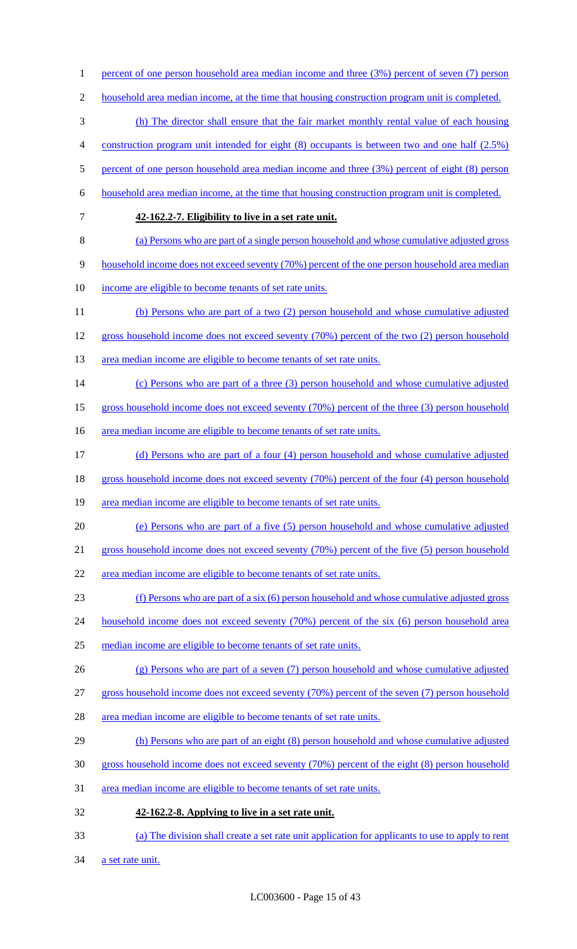1 percent of one person household area median income and three (3%) percent of seven (7) person household area median income, at the time that housing construction program unit is completed. (h) The director shall ensure that the fair market monthly rental value of each housing construction program unit intended for eight (8) occupants is between two and one half (2.5%) 5 percent of one person household area median income and three (3%) percent of eight (8) person household area median income, at the time that housing construction program unit is completed. **42-162.2-7. Eligibility to live in a set rate unit.**  (a) Persons who are part of a single person household and whose cumulative adjusted gross household income does not exceed seventy (70%) percent of the one person household area median income are eligible to become tenants of set rate units. (b) Persons who are part of a two (2) person household and whose cumulative adjusted gross household income does not exceed seventy (70%) percent of the two (2) person household 13 area median income are eligible to become tenants of set rate units. (c) Persons who are part of a three (3) person household and whose cumulative adjusted gross household income does not exceed seventy (70%) percent of the three (3) person household 16 area median income are eligible to become tenants of set rate units. (d) Persons who are part of a four (4) person household and whose cumulative adjusted 18 gross household income does not exceed seventy (70%) percent of the four (4) person household area median income are eligible to become tenants of set rate units. (e) Persons who are part of a five (5) person household and whose cumulative adjusted gross household income does not exceed seventy (70%) percent of the five (5) person household area median income are eligible to become tenants of set rate units. (f) Persons who are part of a six (6) person household and whose cumulative adjusted gross 24 household income does not exceed seventy (70%) percent of the six (6) person household area median income are eligible to become tenants of set rate units. (g) Persons who are part of a seven (7) person household and whose cumulative adjusted gross household income does not exceed seventy (70%) percent of the seven (7) person household area median income are eligible to become tenants of set rate units. (h) Persons who are part of an eight (8) person household and whose cumulative adjusted gross household income does not exceed seventy (70%) percent of the eight (8) person household area median income are eligible to become tenants of set rate units. **42-162.2-8. Applying to live in a set rate unit.**  (a) The division shall create a set rate unit application for applicants to use to apply to rent 34 a set rate unit.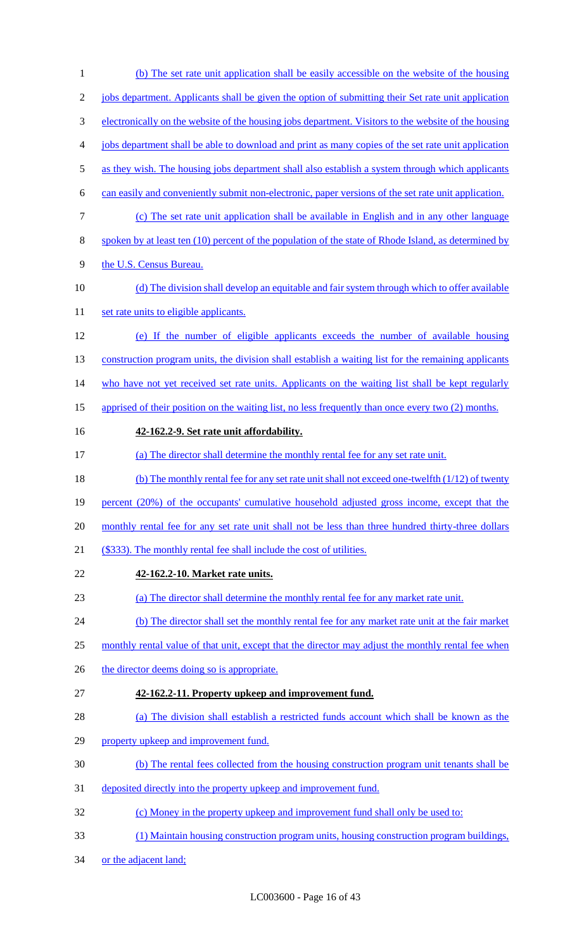| $\mathbf{1}$   | (b) The set rate unit application shall be easily accessible on the website of the housing           |
|----------------|------------------------------------------------------------------------------------------------------|
| $\mathfrak{2}$ | jobs department. Applicants shall be given the option of submitting their Set rate unit application  |
| 3              | electronically on the website of the housing jobs department. Visitors to the website of the housing |
| 4              | jobs department shall be able to download and print as many copies of the set rate unit application  |
| 5              | as they wish. The housing jobs department shall also establish a system through which applicants     |
| 6              | can easily and conveniently submit non-electronic, paper versions of the set rate unit application.  |
| $\tau$         | (c) The set rate unit application shall be available in English and in any other language            |
| 8              | spoken by at least ten (10) percent of the population of the state of Rhode Island, as determined by |
| 9              | the U.S. Census Bureau.                                                                              |
| 10             | (d) The division shall develop an equitable and fair system through which to offer available         |
| 11             | set rate units to eligible applicants.                                                               |
| 12             | (e) If the number of eligible applicants exceeds the number of available housing                     |
| 13             | construction program units, the division shall establish a waiting list for the remaining applicants |
| 14             | who have not yet received set rate units. Applicants on the waiting list shall be kept regularly     |
| 15             | apprised of their position on the waiting list, no less frequently than once every two (2) months.   |
| 16             | 42-162.2-9. Set rate unit affordability.                                                             |
| 17             | (a) The director shall determine the monthly rental fee for any set rate unit.                       |
| 18             | (b) The monthly rental fee for any set rate unit shall not exceed one-twelfth (1/12) of twenty       |
| 19             | percent (20%) of the occupants' cumulative household adjusted gross income, except that the          |
| 20             | monthly rental fee for any set rate unit shall not be less than three hundred thirty-three dollars   |
| 21             | (\$333). The monthly rental fee shall include the cost of utilities.                                 |
| 22             | 42-162.2-10. Market rate units.                                                                      |
| 23             | (a) The director shall determine the monthly rental fee for any market rate unit.                    |
| 24             | (b) The director shall set the monthly rental fee for any market rate unit at the fair market        |
| 25             | monthly rental value of that unit, except that the director may adjust the monthly rental fee when   |
| 26             | the director deems doing so is appropriate.                                                          |
| 27             | 42-162.2-11. Property upkeep and improvement fund.                                                   |
| 28             | (a) The division shall establish a restricted funds account which shall be known as the              |
| 29             | property upkeep and improvement fund.                                                                |
| 30             | (b) The rental fees collected from the housing construction program unit tenants shall be            |
| 31             | deposited directly into the property upkeep and improvement fund.                                    |
| 32             | (c) Money in the property upkeep and improvement fund shall only be used to:                         |
| 33             | (1) Maintain housing construction program units, housing construction program buildings,             |
| 34             | or the adjacent land;                                                                                |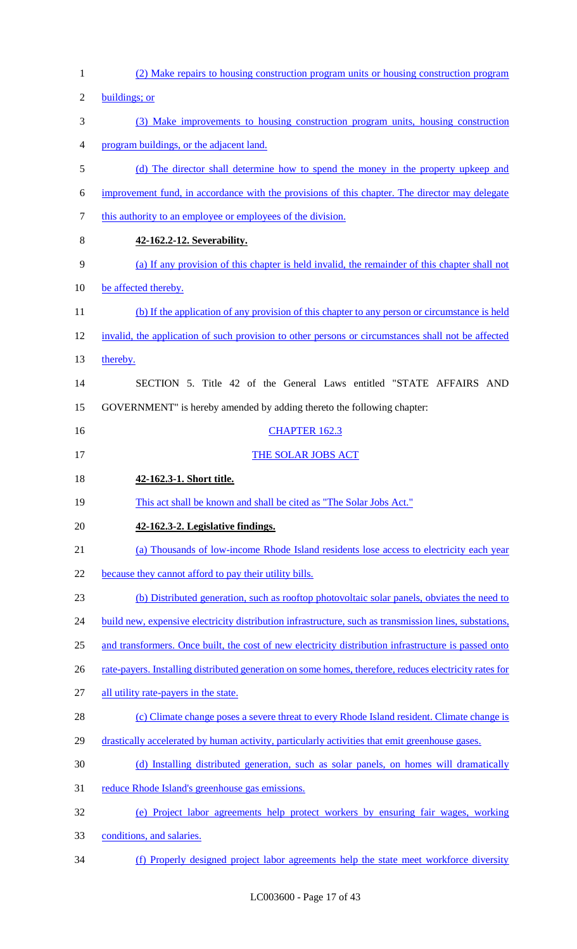| $\mathbf{1}$   | (2) Make repairs to housing construction program units or housing construction program                 |
|----------------|--------------------------------------------------------------------------------------------------------|
| $\overline{2}$ | buildings; or                                                                                          |
| 3              | (3) Make improvements to housing construction program units, housing construction                      |
| 4              | program buildings, or the adjacent land.                                                               |
| 5              | (d) The director shall determine how to spend the money in the property upkeep and                     |
| 6              | improvement fund, in accordance with the provisions of this chapter. The director may delegate         |
| 7              | this authority to an employee or employees of the division.                                            |
| 8              | 42-162.2-12. Severability.                                                                             |
| 9              | (a) If any provision of this chapter is held invalid, the remainder of this chapter shall not          |
| 10             | be affected thereby.                                                                                   |
| 11             | (b) If the application of any provision of this chapter to any person or circumstance is held          |
| 12             | invalid, the application of such provision to other persons or circumstances shall not be affected     |
| 13             | thereby.                                                                                               |
| 14             | SECTION 5. Title 42 of the General Laws entitled "STATE AFFAIRS AND                                    |
| 15             | GOVERNMENT" is hereby amended by adding thereto the following chapter:                                 |
| 16             | <b>CHAPTER 162.3</b>                                                                                   |
| 17             | THE SOLAR JOBS ACT                                                                                     |
| 18             | 42-162.3-1. Short title.                                                                               |
| 19             | This act shall be known and shall be cited as "The Solar Jobs Act."                                    |
| 20             | 42-162.3-2. Legislative findings.                                                                      |
| 21             | (a) Thousands of low-income Rhode Island residents lose access to electricity each year                |
| 22             | because they cannot afford to pay their utility bills.                                                 |
| 23             | (b) Distributed generation, such as rooftop photovoltaic solar panels, obviates the need to            |
| 24             | build new, expensive electricity distribution infrastructure, such as transmission lines, substations, |
| 25             | and transformers. Once built, the cost of new electricity distribution infrastructure is passed onto   |
| 26             | rate-payers. Installing distributed generation on some homes, therefore, reduces electricity rates for |
| 27             | all utility rate-payers in the state.                                                                  |
| 28             | (c) Climate change poses a severe threat to every Rhode Island resident. Climate change is             |
| 29             | drastically accelerated by human activity, particularly activities that emit greenhouse gases.         |
|                |                                                                                                        |
| 30             | (d) Installing distributed generation, such as solar panels, on homes will dramatically                |
| 31             | reduce Rhode Island's greenhouse gas emissions.                                                        |
| 32             | (e) Project labor agreements help protect workers by ensuring fair wages, working                      |
| 33             | conditions, and salaries.                                                                              |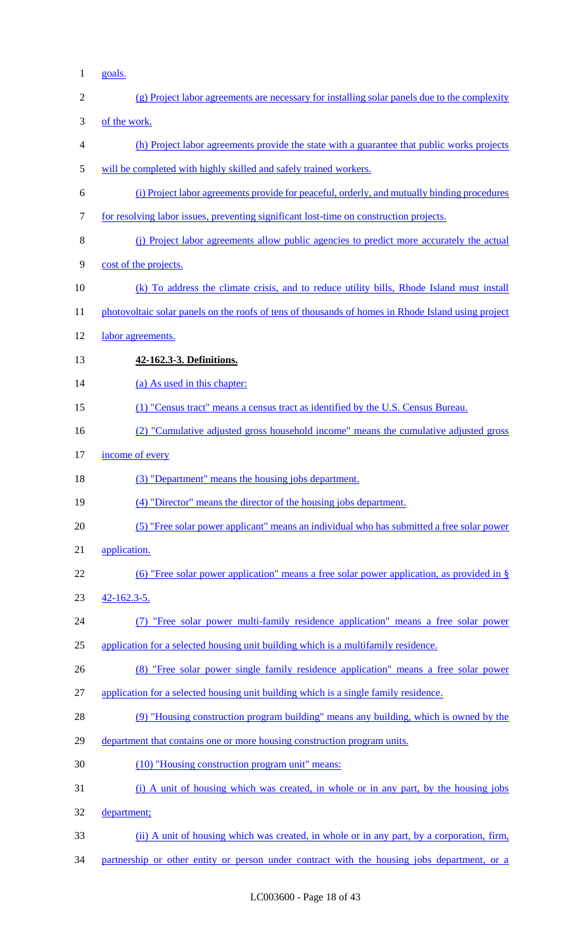1 goals.

| $\mathfrak{2}$   | (g) Project labor agreements are necessary for installing solar panels due to the complexity       |
|------------------|----------------------------------------------------------------------------------------------------|
| 3                | of the work.                                                                                       |
| $\overline{4}$   | (h) Project labor agreements provide the state with a guarantee that public works projects         |
| 5                | will be completed with highly skilled and safely trained workers.                                  |
| 6                | (i) Project labor agreements provide for peaceful, orderly, and mutually binding procedures        |
| $\boldsymbol{7}$ | for resolving labor issues, preventing significant lost-time on construction projects.             |
| $8\,$            | (j) Project labor agreements allow public agencies to predict more accurately the actual           |
| $\mathbf{9}$     | cost of the projects.                                                                              |
| 10               | (k) To address the climate crisis, and to reduce utility bills, Rhode Island must install          |
| 11               | photovoltaic solar panels on the roofs of tens of thousands of homes in Rhode Island using project |
| 12               | labor agreements.                                                                                  |
| 13               | 42-162.3-3. Definitions.                                                                           |
| 14               | (a) As used in this chapter:                                                                       |
| 15               | (1) "Census tract" means a census tract as identified by the U.S. Census Bureau.                   |
| 16               | (2) "Cumulative adjusted gross household income" means the cumulative adjusted gross               |
| 17               | income of every                                                                                    |
| 18               | (3) "Department" means the housing jobs department.                                                |
| 19               | (4) "Director" means the director of the housing jobs department.                                  |
| 20               | (5) "Free solar power applicant" means an individual who has submitted a free solar power          |
| 21               | application.                                                                                       |
| 22               | (6) "Free solar power application" means a free solar power application, as provided in $\S$       |
| 23               | $42 - 162.3 - 5.$                                                                                  |
| 24               | "Free solar power multi-family residence application" means a free solar power                     |
| 25               | application for a selected housing unit building which is a multifamily residence.                 |
| 26               | (8) "Free solar power single family residence application" means a free solar power                |
| 27               | application for a selected housing unit building which is a single family residence.               |
| 28               | (9) "Housing construction program building" means any building, which is owned by the              |
| 29               | department that contains one or more housing construction program units.                           |
| 30               | (10) "Housing construction program unit" means:                                                    |
| 31               | (i) A unit of housing which was created, in whole or in any part, by the housing jobs              |
| 32               | department;                                                                                        |
| 33               | (ii) A unit of housing which was created, in whole or in any part, by a corporation, firm,         |
| 34               | partnership or other entity or person under contract with the housing jobs department, or a        |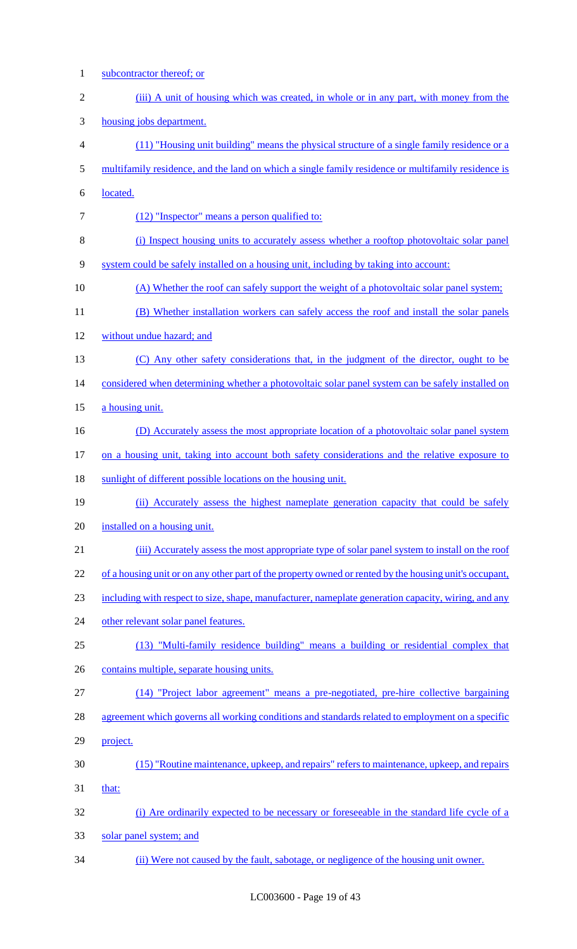subcontractor thereof; or 2 (iii) A unit of housing which was created, in whole or in any part, with money from the housing jobs department. (11) "Housing unit building" means the physical structure of a single family residence or a multifamily residence, and the land on which a single family residence or multifamily residence is located. 7 (12) "Inspector" means a person qualified to: (i) Inspect housing units to accurately assess whether a rooftop photovoltaic solar panel system could be safely installed on a housing unit, including by taking into account: 10 (A) Whether the roof can safely support the weight of a photovoltaic solar panel system; (B) Whether installation workers can safely access the roof and install the solar panels 12 without undue hazard; and (C) Any other safety considerations that, in the judgment of the director, ought to be 14 considered when determining whether a photovoltaic solar panel system can be safely installed on 15 a housing unit. 16 (D) Accurately assess the most appropriate location of a photovoltaic solar panel system 17 on a housing unit, taking into account both safety considerations and the relative exposure to 18 sunlight of different possible locations on the housing unit. (ii) Accurately assess the highest nameplate generation capacity that could be safely installed on a housing unit. (iii) Accurately assess the most appropriate type of solar panel system to install on the roof 22 of a housing unit or on any other part of the property owned or rented by the housing unit's occupant, including with respect to size, shape, manufacturer, nameplate generation capacity, wiring, and any 24 other relevant solar panel features. (13) "Multi-family residence building" means a building or residential complex that 26 contains multiple, separate housing units. (14) "Project labor agreement" means a pre-negotiated, pre-hire collective bargaining agreement which governs all working conditions and standards related to employment on a specific project. (15) "Routine maintenance, upkeep, and repairs" refers to maintenance, upkeep, and repairs that: (i) Are ordinarily expected to be necessary or foreseeable in the standard life cycle of a solar panel system; and (ii) Were not caused by the fault, sabotage, or negligence of the housing unit owner.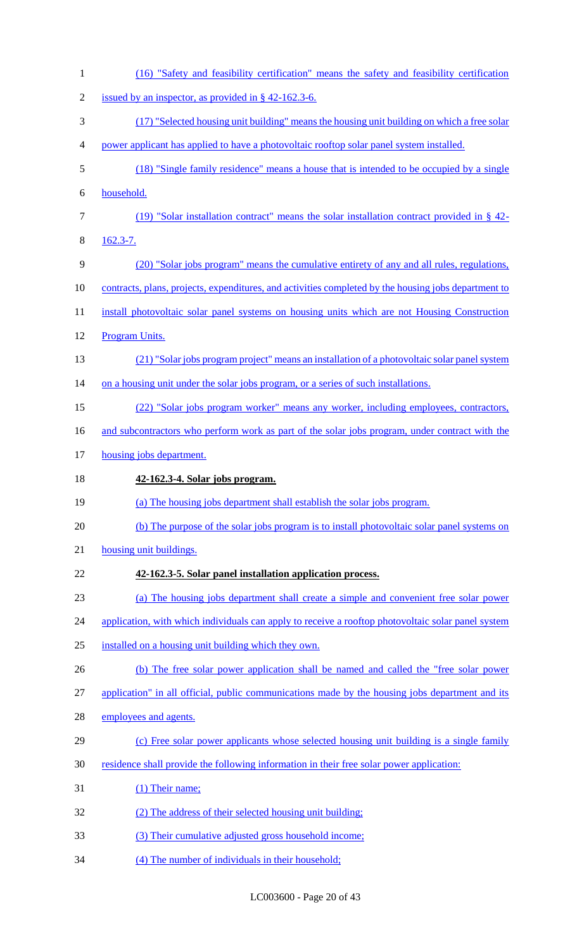| $\mathbf{1}$   | (16) "Safety and feasibility certification" means the safety and feasibility certification           |
|----------------|------------------------------------------------------------------------------------------------------|
| $\overline{2}$ | issued by an inspector, as provided in $\S$ 42-162.3-6.                                              |
| 3              | (17) "Selected housing unit building" means the housing unit building on which a free solar          |
| 4              | power applicant has applied to have a photovoltaic rooftop solar panel system installed.             |
| 5              | (18) "Single family residence" means a house that is intended to be occupied by a single             |
| 6              | household.                                                                                           |
| 7              | (19) "Solar installation contract" means the solar installation contract provided in $\S$ 42-        |
| 8              | $162.3 - 7.$                                                                                         |
| 9              | (20) "Solar jobs program" means the cumulative entirety of any and all rules, regulations,           |
| 10             | contracts, plans, projects, expenditures, and activities completed by the housing jobs department to |
| 11             | install photovoltaic solar panel systems on housing units which are not Housing Construction         |
| 12             | Program Units.                                                                                       |
| 13             | (21) "Solar jobs program project" means an installation of a photovoltaic solar panel system         |
| 14             | on a housing unit under the solar jobs program, or a series of such installations.                   |
| 15             | (22) "Solar jobs program worker" means any worker, including employees, contractors,                 |
| 16             | and subcontractors who perform work as part of the solar jobs program, under contract with the       |
| 17             | housing jobs department.                                                                             |
| 18             | 42-162.3-4. Solar jobs program.                                                                      |
|                |                                                                                                      |
| 19             | (a) The housing jobs department shall establish the solar jobs program.                              |
| 20             | (b) The purpose of the solar jobs program is to install photovoltaic solar panel systems on          |
| 21             | housing unit buildings.                                                                              |
| 22             | 42-162.3-5. Solar panel installation application process.                                            |
| 23             | (a) The housing jobs department shall create a simple and convenient free solar power                |
| 24             | application, with which individuals can apply to receive a rooftop photovoltaic solar panel system   |
| 25             | installed on a housing unit building which they own.                                                 |
| 26             | (b) The free solar power application shall be named and called the "free solar power                 |
| 27             | application" in all official, public communications made by the housing jobs department and its      |
| 28             | employees and agents.                                                                                |
| 29             | (c) Free solar power applicants whose selected housing unit building is a single family              |
| 30             | residence shall provide the following information in their free solar power application:             |
| 31             | (1) Their name;                                                                                      |
| 32             | (2) The address of their selected housing unit building;                                             |
| 33             | (3) Their cumulative adjusted gross household income;                                                |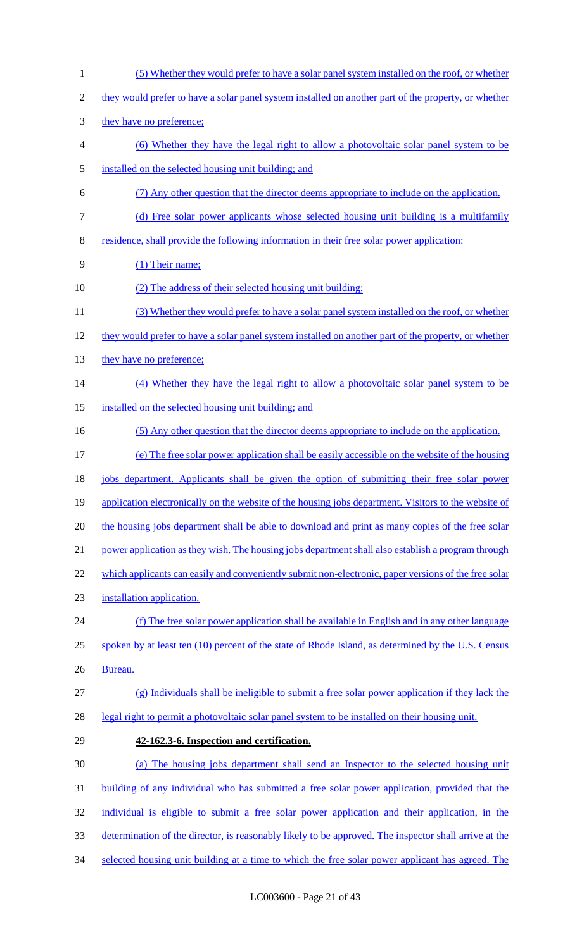(5) Whether they would prefer to have a solar panel system installed on the roof, or whether they would prefer to have a solar panel system installed on another part of the property, or whether 3 they have no preference; (6) Whether they have the legal right to allow a photovoltaic solar panel system to be installed on the selected housing unit building; and (7) Any other question that the director deems appropriate to include on the application. (d) Free solar power applicants whose selected housing unit building is a multifamily residence, shall provide the following information in their free solar power application: (1) Their name; 10 (2) The address of their selected housing unit building; (3) Whether they would prefer to have a solar panel system installed on the roof, or whether 12 they would prefer to have a solar panel system installed on another part of the property, or whether 13 they have no preference; (4) Whether they have the legal right to allow a photovoltaic solar panel system to be installed on the selected housing unit building; and (5) Any other question that the director deems appropriate to include on the application. (e) The free solar power application shall be easily accessible on the website of the housing jobs department. Applicants shall be given the option of submitting their free solar power 19 application electronically on the website of the housing jobs department. Visitors to the website of 20 the housing jobs department shall be able to download and print as many copies of the free solar 21 power application as they wish. The housing jobs department shall also establish a program through 22 which applicants can easily and conveniently submit non-electronic, paper versions of the free solar installation application. (f) The free solar power application shall be available in English and in any other language 25 spoken by at least ten (10) percent of the state of Rhode Island, as determined by the U.S. Census Bureau. (g) Individuals shall be ineligible to submit a free solar power application if they lack the legal right to permit a photovoltaic solar panel system to be installed on their housing unit. **42-162.3-6. Inspection and certification.**  (a) The housing jobs department shall send an Inspector to the selected housing unit building of any individual who has submitted a free solar power application, provided that the individual is eligible to submit a free solar power application and their application, in the determination of the director, is reasonably likely to be approved. The inspector shall arrive at the selected housing unit building at a time to which the free solar power applicant has agreed. The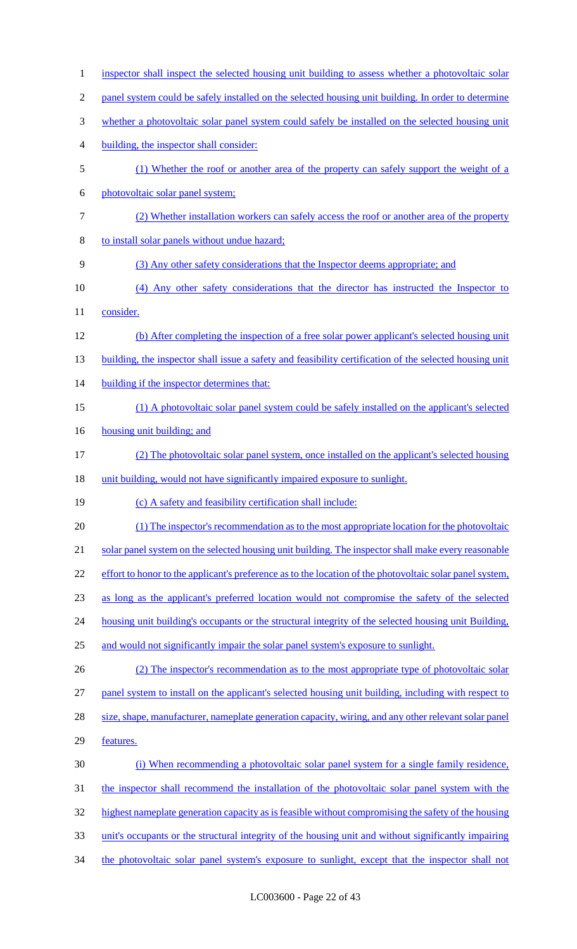| $\mathbf{1}$   | inspector shall inspect the selected housing unit building to assess whether a photovoltaic solar        |
|----------------|----------------------------------------------------------------------------------------------------------|
| $\overline{c}$ | panel system could be safely installed on the selected housing unit building. In order to determine      |
| 3              | whether a photovoltaic solar panel system could safely be installed on the selected housing unit         |
| 4              | building, the inspector shall consider:                                                                  |
| 5              | (1) Whether the roof or another area of the property can safely support the weight of a                  |
| 6              | photovoltaic solar panel system;                                                                         |
| $\tau$         | (2) Whether installation workers can safely access the roof or another area of the property              |
| 8              | to install solar panels without undue hazard;                                                            |
| 9              | (3) Any other safety considerations that the Inspector deems appropriate; and                            |
| 10             | (4) Any other safety considerations that the director has instructed the Inspector to                    |
| 11             | consider.                                                                                                |
| 12             | (b) After completing the inspection of a free solar power applicant's selected housing unit              |
| 13             | building, the inspector shall issue a safety and feasibility certification of the selected housing unit  |
| 14             | building if the inspector determines that:                                                               |
| 15             | (1) A photovoltaic solar panel system could be safely installed on the applicant's selected              |
| 16             | housing unit building; and                                                                               |
| 17             | (2) The photovoltaic solar panel system, once installed on the applicant's selected housing              |
|                |                                                                                                          |
| 18             | unit building, would not have significantly impaired exposure to sunlight.                               |
| 19             | (c) A safety and feasibility certification shall include:                                                |
| 20             | (1) The inspector's recommendation as to the most appropriate location for the photovoltaic              |
| 21             | solar panel system on the selected housing unit building. The inspector shall make every reasonable      |
| 22             | effort to honor to the applicant's preference as to the location of the photovoltaic solar panel system, |
| 23             | as long as the applicant's preferred location would not compromise the safety of the selected            |
| 24             | housing unit building's occupants or the structural integrity of the selected housing unit Building,     |
| 25             | and would not significantly impair the solar panel system's exposure to sunlight.                        |
| 26             | (2) The inspector's recommendation as to the most appropriate type of photovoltaic solar                 |
| 27             | panel system to install on the applicant's selected housing unit building, including with respect to     |
| 28             | size, shape, manufacturer, nameplate generation capacity, wiring, and any other relevant solar panel     |
| 29             | features.                                                                                                |
| 30             | (i) When recommending a photovoltaic solar panel system for a single family residence,                   |
| 31             | the inspector shall recommend the installation of the photovoltaic solar panel system with the           |
| 32             | highest nameplate generation capacity as is feasible without compromising the safety of the housing      |
| 33             | unit's occupants or the structural integrity of the housing unit and without significantly impairing     |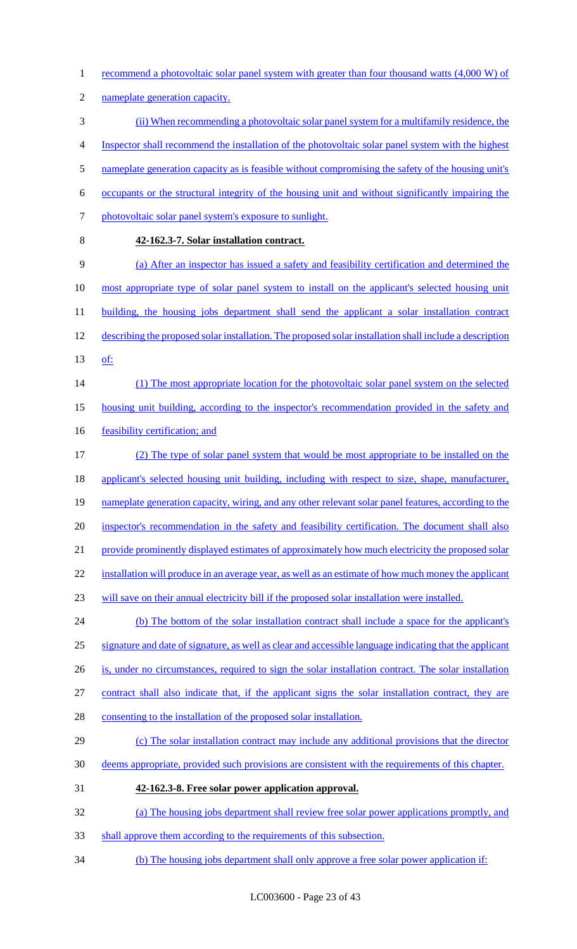- 1 recommend a photovoltaic solar panel system with greater than four thousand watts (4,000 W) of
- nameplate generation capacity.
- (ii) When recommending a photovoltaic solar panel system for a multifamily residence, the
- Inspector shall recommend the installation of the photovoltaic solar panel system with the highest
- 5 nameplate generation capacity as is feasible without compromising the safety of the housing unit's
- occupants or the structural integrity of the housing unit and without significantly impairing the
- 7 photovoltaic solar panel system's exposure to sunlight.
- 

# **42-162.3-7. Solar installation contract.**

 (a) After an inspector has issued a safety and feasibility certification and determined the 10 most appropriate type of solar panel system to install on the applicant's selected housing unit 11 building, the housing jobs department shall send the applicant a solar installation contract describing the proposed solar installation. The proposed solar installation shall include a description of:

- 14 (1) The most appropriate location for the photovoltaic solar panel system on the selected housing unit building, according to the inspector's recommendation provided in the safety and
- 16 feasibility certification; and
- (2) The type of solar panel system that would be most appropriate to be installed on the 18 applicant's selected housing unit building, including with respect to size, shape, manufacturer, nameplate generation capacity, wiring, and any other relevant solar panel features, according to the inspector's recommendation in the safety and feasibility certification. The document shall also 21 provide prominently displayed estimates of approximately how much electricity the proposed solar installation will produce in an average year, as well as an estimate of how much money the applicant will save on their annual electricity bill if the proposed solar installation were installed.
- 24 (b) The bottom of the solar installation contract shall include a space for the applicant's signature and date of signature, as well as clear and accessible language indicating that the applicant
- is, under no circumstances, required to sign the solar installation contract. The solar installation
- contract shall also indicate that, if the applicant signs the solar installation contract, they are
- 28 consenting to the installation of the proposed solar installation.
- (c) The solar installation contract may include any additional provisions that the director
- deems appropriate, provided such provisions are consistent with the requirements of this chapter.
- **42-162.3-8. Free solar power application approval.**
- (a) The housing jobs department shall review free solar power applications promptly, and
- shall approve them according to the requirements of this subsection.
- (b) The housing jobs department shall only approve a free solar power application if: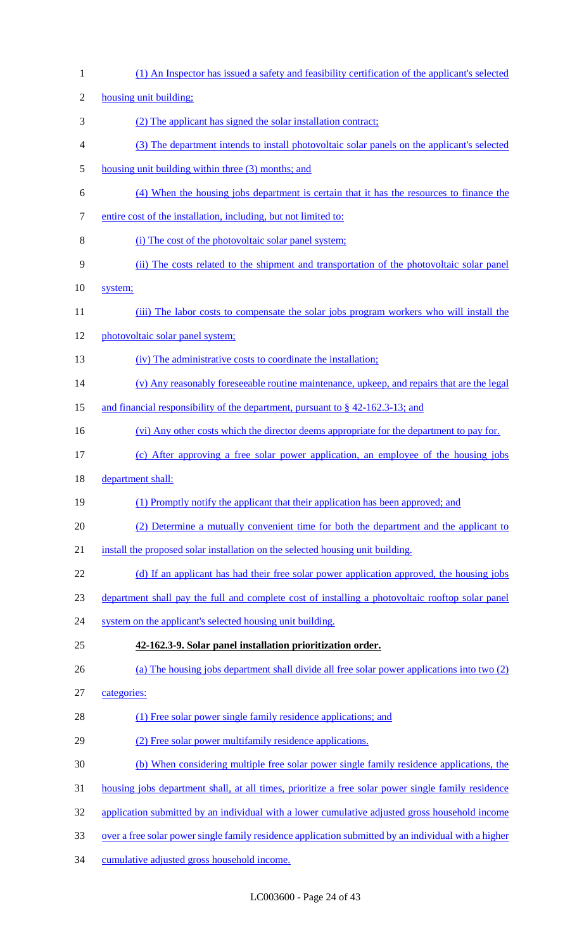| $\mathbf{1}$   | (1) An Inspector has issued a safety and feasibility certification of the applicant's selected       |
|----------------|------------------------------------------------------------------------------------------------------|
| $\mathfrak{2}$ | housing unit building;                                                                               |
| 3              | (2) The applicant has signed the solar installation contract;                                        |
| 4              | (3) The department intends to install photovoltaic solar panels on the applicant's selected          |
| 5              | housing unit building within three (3) months; and                                                   |
| 6              | (4) When the housing jobs department is certain that it has the resources to finance the             |
| 7              | entire cost of the installation, including, but not limited to:                                      |
| 8              | (i) The cost of the photovoltaic solar panel system;                                                 |
| 9              | (ii) The costs related to the shipment and transportation of the photovoltaic solar panel            |
| 10             | system;                                                                                              |
| 11             | (iii) The labor costs to compensate the solar jobs program workers who will install the              |
| 12             | photovoltaic solar panel system;                                                                     |
| 13             | (iv) The administrative costs to coordinate the installation;                                        |
| 14             | (v) Any reasonably foreseeable routine maintenance, upkeep, and repairs that are the legal           |
| 15             | and financial responsibility of the department, pursuant to $\S$ 42-162.3-13; and                    |
| 16             | (vi) Any other costs which the director deems appropriate for the department to pay for.             |
| 17             | (c) After approving a free solar power application, an employee of the housing jobs                  |
| 18             | department shall:                                                                                    |
| 19             | (1) Promptly notify the applicant that their application has been approved; and                      |
| 20             | (2) Determine a mutually convenient time for both the department and the applicant to                |
| 21             | install the proposed solar installation on the selected housing unit building.                       |
| 22             | (d) If an applicant has had their free solar power application approved, the housing jobs            |
| 23             | department shall pay the full and complete cost of installing a photovoltaic rooftop solar panel     |
| 24             | system on the applicant's selected housing unit building.                                            |
| 25             | 42-162.3-9. Solar panel installation prioritization order.                                           |
| 26             | (a) The housing jobs department shall divide all free solar power applications into two (2)          |
| 27             | categories:                                                                                          |
| 28             | (1) Free solar power single family residence applications; and                                       |
| 29             | (2) Free solar power multifamily residence applications.                                             |
| 30             | (b) When considering multiple free solar power single family residence applications, the             |
| 31             | housing jobs department shall, at all times, prioritize a free solar power single family residence   |
| 32             | application submitted by an individual with a lower cumulative adjusted gross household income       |
| 33             | over a free solar power single family residence application submitted by an individual with a higher |
| 34             | cumulative adjusted gross household income.                                                          |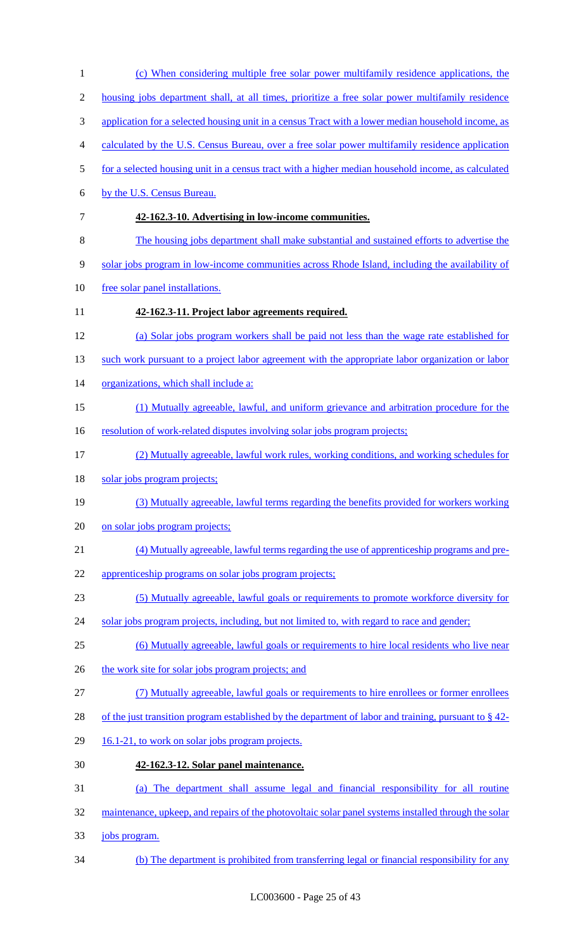(c) When considering multiple free solar power multifamily residence applications, the housing jobs department shall, at all times, prioritize a free solar power multifamily residence 3 application for a selected housing unit in a census Tract with a lower median household income, as calculated by the U.S. Census Bureau, over a free solar power multifamily residence application for a selected housing unit in a census tract with a higher median household income, as calculated by the U.S. Census Bureau. **42-162.3-10. Advertising in low-income communities.**  The housing jobs department shall make substantial and sustained efforts to advertise the solar jobs program in low-income communities across Rhode Island, including the availability of free solar panel installations. **42-162.3-11. Project labor agreements required.**  (a) Solar jobs program workers shall be paid not less than the wage rate established for 13 such work pursuant to a project labor agreement with the appropriate labor organization or labor organizations, which shall include a: (1) Mutually agreeable, lawful, and uniform grievance and arbitration procedure for the 16 resolution of work-related disputes involving solar jobs program projects; (2) Mutually agreeable, lawful work rules, working conditions, and working schedules for 18 solar jobs program projects; (3) Mutually agreeable, lawful terms regarding the benefits provided for workers working 20 on solar jobs program projects; (4) Mutually agreeable, lawful terms regarding the use of apprenticeship programs and pre- apprenticeship programs on solar jobs program projects; (5) Mutually agreeable, lawful goals or requirements to promote workforce diversity for 24 solar jobs program projects, including, but not limited to, with regard to race and gender; (6) Mutually agreeable, lawful goals or requirements to hire local residents who live near 26 the work site for solar jobs program projects; and (7) Mutually agreeable, lawful goals or requirements to hire enrollees or former enrollees 28 of the just transition program established by the department of labor and training, pursuant to § 42-29 16.1-21, to work on solar jobs program projects. **42-162.3-12. Solar panel maintenance.**  (a) The department shall assume legal and financial responsibility for all routine 32 maintenance, upkeep, and repairs of the photovoltaic solar panel systems installed through the solar jobs program. (b) The department is prohibited from transferring legal or financial responsibility for any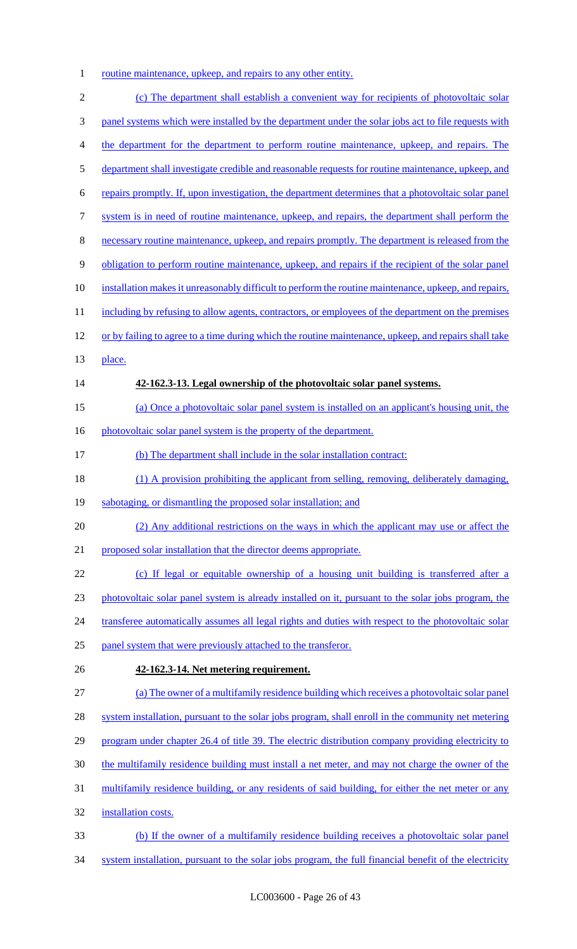1 routine maintenance, upkeep, and repairs to any other entity.

| $\mathbf{2}$     | (c) The department shall establish a convenient way for recipients of photovoltaic solar               |
|------------------|--------------------------------------------------------------------------------------------------------|
| 3                | panel systems which were installed by the department under the solar jobs act to file requests with    |
| 4                | the department for the department to perform routine maintenance, upkeep, and repairs. The             |
| 5                | department shall investigate credible and reasonable requests for routine maintenance, upkeep, and     |
| 6                | repairs promptly. If, upon investigation, the department determines that a photovoltaic solar panel    |
| $\boldsymbol{7}$ | system is in need of routine maintenance, upkeep, and repairs, the department shall perform the        |
| $8\,$            | necessary routine maintenance, upkeep, and repairs promptly. The department is released from the       |
| 9                | obligation to perform routine maintenance, upkeep, and repairs if the recipient of the solar panel     |
| 10               | installation makes it unreasonably difficult to perform the routine maintenance, upkeep, and repairs,  |
| 11               | including by refusing to allow agents, contractors, or employees of the department on the premises     |
| 12               | or by failing to agree to a time during which the routine maintenance, upkeep, and repairs shall take  |
| 13               | place.                                                                                                 |
| 14               | 42-162.3-13. Legal ownership of the photovoltaic solar panel systems.                                  |
| 15               | (a) Once a photovoltaic solar panel system is installed on an applicant's housing unit, the            |
| 16               | photovoltaic solar panel system is the property of the department.                                     |
| 17               | (b) The department shall include in the solar installation contract:                                   |
| 18               | (1) A provision prohibiting the applicant from selling, removing, deliberately damaging,               |
| 19               | sabotaging, or dismantling the proposed solar installation; and                                        |
| 20               | (2) Any additional restrictions on the ways in which the applicant may use or affect the               |
| 21               | proposed solar installation that the director deems appropriate.                                       |
| 22               | (c) If legal or equitable ownership of a housing unit building is transferred after a                  |
| 23               | photovoltaic solar panel system is already installed on it, pursuant to the solar jobs program, the    |
| 24               | transferee automatically assumes all legal rights and duties with respect to the photovoltaic solar    |
| 25               | panel system that were previously attached to the transferor.                                          |
| 26               | 42-162.3-14. Net metering requirement.                                                                 |
| 27               | (a) The owner of a multifamily residence building which receives a photovoltaic solar panel            |
| 28               | system installation, pursuant to the solar jobs program, shall enroll in the community net metering    |
| 29               | program under chapter 26.4 of title 39. The electric distribution company providing electricity to     |
| 30               | the multifamily residence building must install a net meter, and may not charge the owner of the       |
| 31               | multifamily residence building, or any residents of said building, for either the net meter or any     |
| 32               | installation costs.                                                                                    |
| 33               | (b) If the owner of a multifamily residence building receives a photovoltaic solar panel               |
| 34               | system installation, pursuant to the solar jobs program, the full financial benefit of the electricity |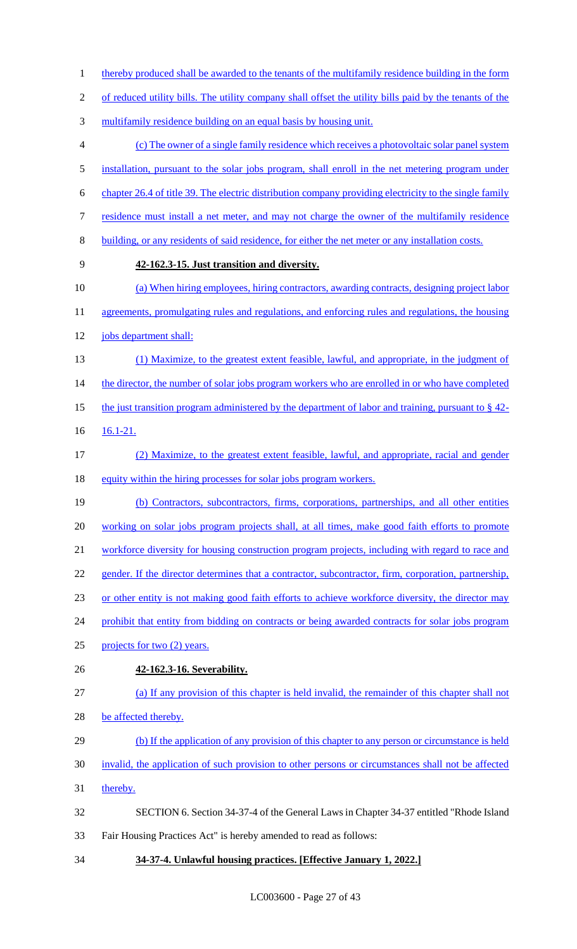1 thereby produced shall be awarded to the tenants of the multifamily residence building in the form

of reduced utility bills. The utility company shall offset the utility bills paid by the tenants of the

- multifamily residence building on an equal basis by housing unit.
- (c) The owner of a single family residence which receives a photovoltaic solar panel system 5 installation, pursuant to the solar jobs program, shall enroll in the net metering program under
- chapter 26.4 of title 39. The electric distribution company providing electricity to the single family
- residence must install a net meter, and may not charge the owner of the multifamily residence
- building, or any residents of said residence, for either the net meter or any installation costs.
- 

### **42-162.3-15. Just transition and diversity.**

- (a) When hiring employees, hiring contractors, awarding contracts, designing project labor
- 11 agreements, promulgating rules and regulations, and enforcing rules and regulations, the housing jobs department shall:
- (1) Maximize, to the greatest extent feasible, lawful, and appropriate, in the judgment of 14 the director, the number of solar jobs program workers who are enrolled in or who have completed 15 the just transition program administered by the department of labor and training, pursuant to § 42-
- 16.1-21.
- (2) Maximize, to the greatest extent feasible, lawful, and appropriate, racial and gender 18 equity within the hiring processes for solar jobs program workers.
- (b) Contractors, subcontractors, firms, corporations, partnerships, and all other entities 20 working on solar jobs program projects shall, at all times, make good faith efforts to promote workforce diversity for housing construction program projects, including with regard to race and 22 gender. If the director determines that a contractor, subcontractor, firm, corporation, partnership, or other entity is not making good faith efforts to achieve workforce diversity, the director may
- 24 prohibit that entity from bidding on contracts or being awarded contracts for solar jobs program
- projects for two (2) years.
- **42-162.3-16. Severability.**
- (a) If any provision of this chapter is held invalid, the remainder of this chapter shall not
- 28 be affected thereby.
- (b) If the application of any provision of this chapter to any person or circumstance is held
- invalid, the application of such provision to other persons or circumstances shall not be affected
- 31 thereby.
- SECTION 6. Section 34-37-4 of the General Laws in Chapter 34-37 entitled "Rhode Island Fair Housing Practices Act" is hereby amended to read as follows:
- 
- **34-37-4. Unlawful housing practices. [Effective January 1, 2022.]**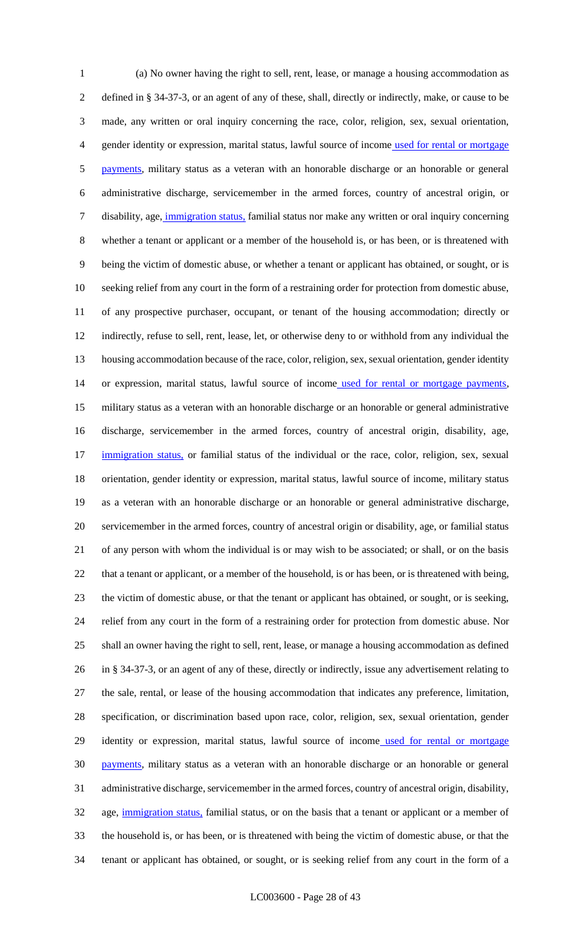(a) No owner having the right to sell, rent, lease, or manage a housing accommodation as defined in § 34-37-3, or an agent of any of these, shall, directly or indirectly, make, or cause to be made, any written or oral inquiry concerning the race, color, religion, sex, sexual orientation, gender identity or expression, marital status, lawful source of income used for rental or mortgage 5 payments, military status as a veteran with an honorable discharge or an honorable or general administrative discharge, servicemember in the armed forces, country of ancestral origin, or disability, age, immigration status, familial status nor make any written or oral inquiry concerning whether a tenant or applicant or a member of the household is, or has been, or is threatened with being the victim of domestic abuse, or whether a tenant or applicant has obtained, or sought, or is seeking relief from any court in the form of a restraining order for protection from domestic abuse, of any prospective purchaser, occupant, or tenant of the housing accommodation; directly or indirectly, refuse to sell, rent, lease, let, or otherwise deny to or withhold from any individual the housing accommodation because of the race, color, religion, sex, sexual orientation, gender identity 14 or expression, marital status, lawful source of income used for rental or mortgage payments, military status as a veteran with an honorable discharge or an honorable or general administrative discharge, servicemember in the armed forces, country of ancestral origin, disability, age, 17 immigration status, or familial status of the individual or the race, color, religion, sex, sexual orientation, gender identity or expression, marital status, lawful source of income, military status as a veteran with an honorable discharge or an honorable or general administrative discharge, servicemember in the armed forces, country of ancestral origin or disability, age, or familial status of any person with whom the individual is or may wish to be associated; or shall, or on the basis 22 that a tenant or applicant, or a member of the household, is or has been, or is threatened with being, the victim of domestic abuse, or that the tenant or applicant has obtained, or sought, or is seeking, relief from any court in the form of a restraining order for protection from domestic abuse. Nor shall an owner having the right to sell, rent, lease, or manage a housing accommodation as defined in § 34-37-3, or an agent of any of these, directly or indirectly, issue any advertisement relating to the sale, rental, or lease of the housing accommodation that indicates any preference, limitation, specification, or discrimination based upon race, color, religion, sex, sexual orientation, gender 29 identity or expression, marital status, lawful source of income used for rental or mortgage **payments**, military status as a veteran with an honorable discharge or an honorable or general administrative discharge, servicemember in the armed forces, country of ancestral origin, disability, 32 age, immigration status, familial status, or on the basis that a tenant or applicant or a member of the household is, or has been, or is threatened with being the victim of domestic abuse, or that the tenant or applicant has obtained, or sought, or is seeking relief from any court in the form of a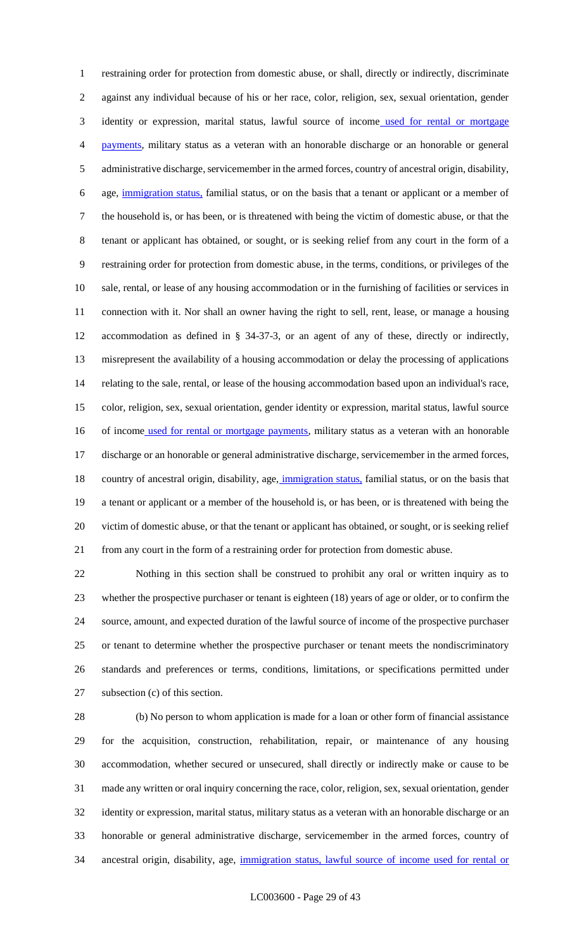restraining order for protection from domestic abuse, or shall, directly or indirectly, discriminate against any individual because of his or her race, color, religion, sex, sexual orientation, gender 3 identity or expression, marital status, lawful source of income used for rental or mortgage payments, military status as a veteran with an honorable discharge or an honorable or general administrative discharge, servicemember in the armed forces, country of ancestral origin, disability, age, immigration status, familial status, or on the basis that a tenant or applicant or a member of the household is, or has been, or is threatened with being the victim of domestic abuse, or that the tenant or applicant has obtained, or sought, or is seeking relief from any court in the form of a restraining order for protection from domestic abuse, in the terms, conditions, or privileges of the sale, rental, or lease of any housing accommodation or in the furnishing of facilities or services in connection with it. Nor shall an owner having the right to sell, rent, lease, or manage a housing accommodation as defined in § 34-37-3, or an agent of any of these, directly or indirectly, misrepresent the availability of a housing accommodation or delay the processing of applications relating to the sale, rental, or lease of the housing accommodation based upon an individual's race, color, religion, sex, sexual orientation, gender identity or expression, marital status, lawful source 16 of income used for rental or mortgage payments, military status as a veteran with an honorable discharge or an honorable or general administrative discharge, servicemember in the armed forces, 18 country of ancestral origin, disability, age, *immigration status*, familial status, or on the basis that a tenant or applicant or a member of the household is, or has been, or is threatened with being the victim of domestic abuse, or that the tenant or applicant has obtained, or sought, or is seeking relief from any court in the form of a restraining order for protection from domestic abuse.

 Nothing in this section shall be construed to prohibit any oral or written inquiry as to whether the prospective purchaser or tenant is eighteen (18) years of age or older, or to confirm the source, amount, and expected duration of the lawful source of income of the prospective purchaser or tenant to determine whether the prospective purchaser or tenant meets the nondiscriminatory standards and preferences or terms, conditions, limitations, or specifications permitted under subsection (c) of this section.

 (b) No person to whom application is made for a loan or other form of financial assistance for the acquisition, construction, rehabilitation, repair, or maintenance of any housing accommodation, whether secured or unsecured, shall directly or indirectly make or cause to be made any written or oral inquiry concerning the race, color, religion, sex, sexual orientation, gender identity or expression, marital status, military status as a veteran with an honorable discharge or an honorable or general administrative discharge, servicemember in the armed forces, country of 34 ancestral origin, disability, age, immigration status, lawful source of income used for rental or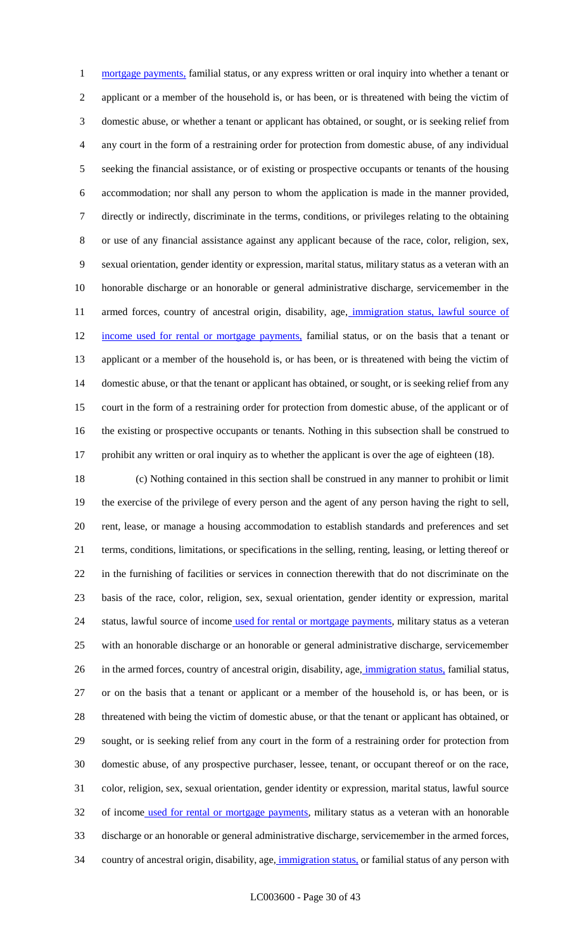1 mortgage payments, familial status, or any express written or oral inquiry into whether a tenant or applicant or a member of the household is, or has been, or is threatened with being the victim of domestic abuse, or whether a tenant or applicant has obtained, or sought, or is seeking relief from any court in the form of a restraining order for protection from domestic abuse, of any individual seeking the financial assistance, or of existing or prospective occupants or tenants of the housing accommodation; nor shall any person to whom the application is made in the manner provided, directly or indirectly, discriminate in the terms, conditions, or privileges relating to the obtaining or use of any financial assistance against any applicant because of the race, color, religion, sex, sexual orientation, gender identity or expression, marital status, military status as a veteran with an honorable discharge or an honorable or general administrative discharge, servicemember in the 11 armed forces, country of ancestral origin, disability, age, immigration status, lawful source of 12 income used for rental or mortgage payments, familial status, or on the basis that a tenant or applicant or a member of the household is, or has been, or is threatened with being the victim of domestic abuse, or that the tenant or applicant has obtained, or sought, or is seeking relief from any court in the form of a restraining order for protection from domestic abuse, of the applicant or of the existing or prospective occupants or tenants. Nothing in this subsection shall be construed to 17 prohibit any written or oral inquiry as to whether the applicant is over the age of eighteen (18).

 (c) Nothing contained in this section shall be construed in any manner to prohibit or limit the exercise of the privilege of every person and the agent of any person having the right to sell, rent, lease, or manage a housing accommodation to establish standards and preferences and set terms, conditions, limitations, or specifications in the selling, renting, leasing, or letting thereof or in the furnishing of facilities or services in connection therewith that do not discriminate on the basis of the race, color, religion, sex, sexual orientation, gender identity or expression, marital 24 status, lawful source of income used for rental or mortgage payments, military status as a veteran with an honorable discharge or an honorable or general administrative discharge, servicemember 26 in the armed forces, country of ancestral origin, disability, age, *immigration status*, familial status, or on the basis that a tenant or applicant or a member of the household is, or has been, or is threatened with being the victim of domestic abuse, or that the tenant or applicant has obtained, or sought, or is seeking relief from any court in the form of a restraining order for protection from domestic abuse, of any prospective purchaser, lessee, tenant, or occupant thereof or on the race, color, religion, sex, sexual orientation, gender identity or expression, marital status, lawful source 32 of income used for rental or mortgage payments, military status as a veteran with an honorable discharge or an honorable or general administrative discharge, servicemember in the armed forces, 34 country of ancestral origin, disability, age, immigration status, or familial status of any person with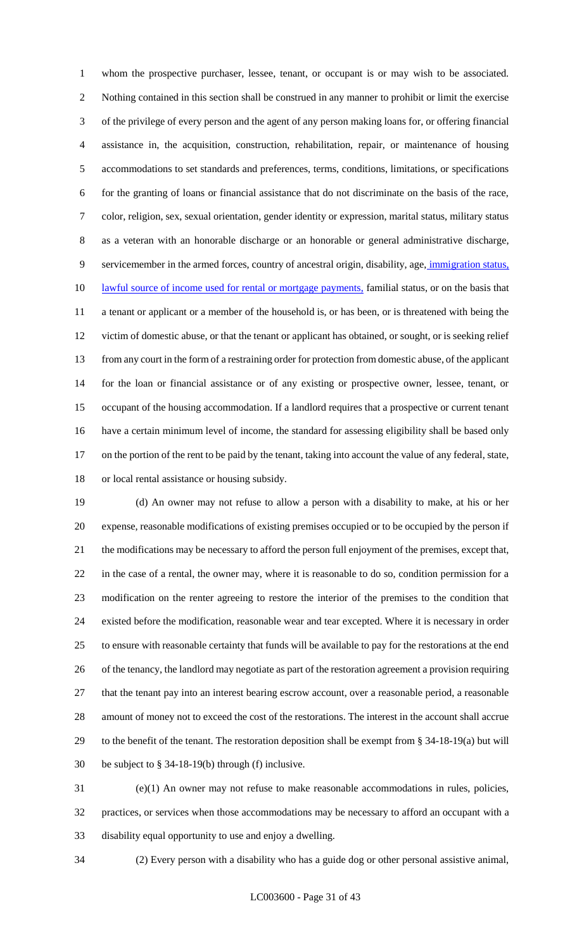whom the prospective purchaser, lessee, tenant, or occupant is or may wish to be associated. Nothing contained in this section shall be construed in any manner to prohibit or limit the exercise of the privilege of every person and the agent of any person making loans for, or offering financial assistance in, the acquisition, construction, rehabilitation, repair, or maintenance of housing accommodations to set standards and preferences, terms, conditions, limitations, or specifications for the granting of loans or financial assistance that do not discriminate on the basis of the race, color, religion, sex, sexual orientation, gender identity or expression, marital status, military status as a veteran with an honorable discharge or an honorable or general administrative discharge, servicemember in the armed forces, country of ancestral origin, disability, age, immigration status, 10 lawful source of income used for rental or mortgage payments, familial status, or on the basis that a tenant or applicant or a member of the household is, or has been, or is threatened with being the victim of domestic abuse, or that the tenant or applicant has obtained, or sought, or is seeking relief from any court in the form of a restraining order for protection from domestic abuse, of the applicant for the loan or financial assistance or of any existing or prospective owner, lessee, tenant, or occupant of the housing accommodation. If a landlord requires that a prospective or current tenant have a certain minimum level of income, the standard for assessing eligibility shall be based only on the portion of the rent to be paid by the tenant, taking into account the value of any federal, state, or local rental assistance or housing subsidy.

 (d) An owner may not refuse to allow a person with a disability to make, at his or her expense, reasonable modifications of existing premises occupied or to be occupied by the person if the modifications may be necessary to afford the person full enjoyment of the premises, except that, in the case of a rental, the owner may, where it is reasonable to do so, condition permission for a modification on the renter agreeing to restore the interior of the premises to the condition that existed before the modification, reasonable wear and tear excepted. Where it is necessary in order to ensure with reasonable certainty that funds will be available to pay for the restorations at the end of the tenancy, the landlord may negotiate as part of the restoration agreement a provision requiring that the tenant pay into an interest bearing escrow account, over a reasonable period, a reasonable amount of money not to exceed the cost of the restorations. The interest in the account shall accrue to the benefit of the tenant. The restoration deposition shall be exempt from § 34-18-19(a) but will be subject to § 34-18-19(b) through (f) inclusive.

 (e)(1) An owner may not refuse to make reasonable accommodations in rules, policies, practices, or services when those accommodations may be necessary to afford an occupant with a disability equal opportunity to use and enjoy a dwelling.

(2) Every person with a disability who has a guide dog or other personal assistive animal,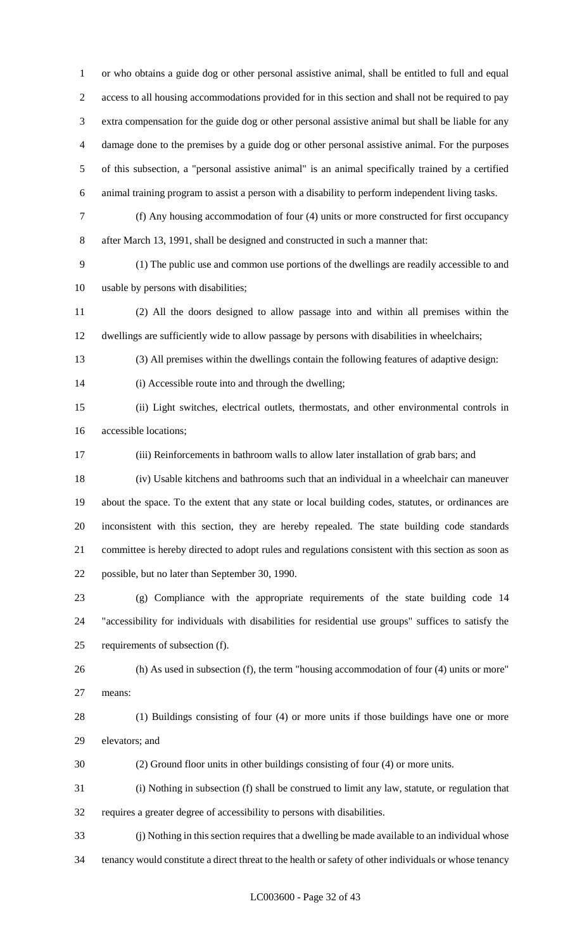or who obtains a guide dog or other personal assistive animal, shall be entitled to full and equal access to all housing accommodations provided for in this section and shall not be required to pay extra compensation for the guide dog or other personal assistive animal but shall be liable for any damage done to the premises by a guide dog or other personal assistive animal. For the purposes of this subsection, a "personal assistive animal" is an animal specifically trained by a certified animal training program to assist a person with a disability to perform independent living tasks.

 (f) Any housing accommodation of four (4) units or more constructed for first occupancy after March 13, 1991, shall be designed and constructed in such a manner that:

 (1) The public use and common use portions of the dwellings are readily accessible to and usable by persons with disabilities;

 (2) All the doors designed to allow passage into and within all premises within the dwellings are sufficiently wide to allow passage by persons with disabilities in wheelchairs;

(3) All premises within the dwellings contain the following features of adaptive design:

(i) Accessible route into and through the dwelling;

 (ii) Light switches, electrical outlets, thermostats, and other environmental controls in accessible locations;

(iii) Reinforcements in bathroom walls to allow later installation of grab bars; and

 (iv) Usable kitchens and bathrooms such that an individual in a wheelchair can maneuver about the space. To the extent that any state or local building codes, statutes, or ordinances are inconsistent with this section, they are hereby repealed. The state building code standards committee is hereby directed to adopt rules and regulations consistent with this section as soon as possible, but no later than September 30, 1990.

 (g) Compliance with the appropriate requirements of the state building code 14 "accessibility for individuals with disabilities for residential use groups" suffices to satisfy the requirements of subsection (f).

 (h) As used in subsection (f), the term "housing accommodation of four (4) units or more" means:

 (1) Buildings consisting of four (4) or more units if those buildings have one or more elevators; and

(2) Ground floor units in other buildings consisting of four (4) or more units.

 (i) Nothing in subsection (f) shall be construed to limit any law, statute, or regulation that requires a greater degree of accessibility to persons with disabilities.

 (j) Nothing in this section requires that a dwelling be made available to an individual whose tenancy would constitute a direct threat to the health or safety of other individuals or whose tenancy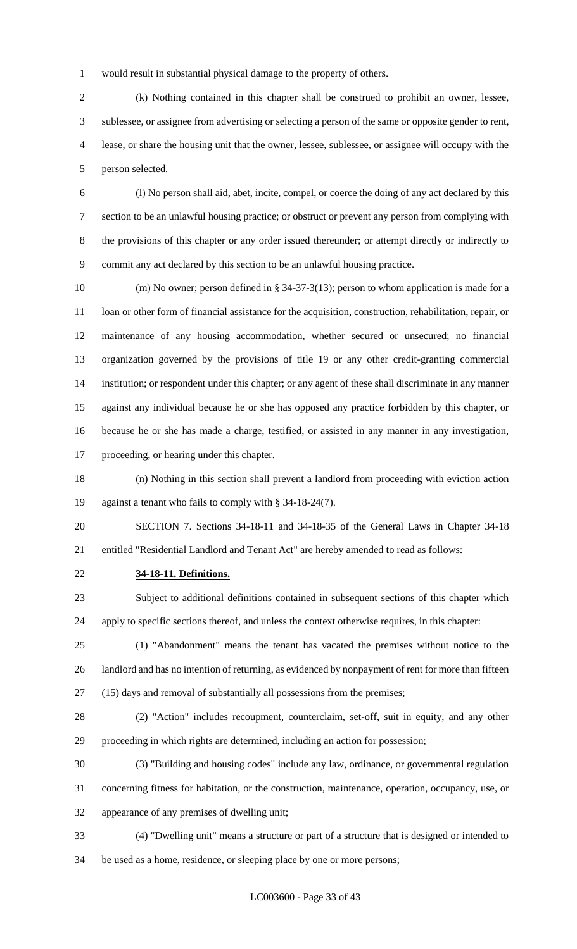would result in substantial physical damage to the property of others.

 (k) Nothing contained in this chapter shall be construed to prohibit an owner, lessee, sublessee, or assignee from advertising or selecting a person of the same or opposite gender to rent, lease, or share the housing unit that the owner, lessee, sublessee, or assignee will occupy with the person selected.

 (l) No person shall aid, abet, incite, compel, or coerce the doing of any act declared by this section to be an unlawful housing practice; or obstruct or prevent any person from complying with the provisions of this chapter or any order issued thereunder; or attempt directly or indirectly to commit any act declared by this section to be an unlawful housing practice.

 (m) No owner; person defined in § 34-37-3(13); person to whom application is made for a 11 loan or other form of financial assistance for the acquisition, construction, rehabilitation, repair, or maintenance of any housing accommodation, whether secured or unsecured; no financial organization governed by the provisions of title 19 or any other credit-granting commercial institution; or respondent under this chapter; or any agent of these shall discriminate in any manner against any individual because he or she has opposed any practice forbidden by this chapter, or because he or she has made a charge, testified, or assisted in any manner in any investigation, proceeding, or hearing under this chapter.

 (n) Nothing in this section shall prevent a landlord from proceeding with eviction action against a tenant who fails to comply with § 34-18-24(7).

 SECTION 7. Sections 34-18-11 and 34-18-35 of the General Laws in Chapter 34-18 entitled "Residential Landlord and Tenant Act" are hereby amended to read as follows:

**34-18-11. Definitions.**

 Subject to additional definitions contained in subsequent sections of this chapter which apply to specific sections thereof, and unless the context otherwise requires, in this chapter:

 (1) "Abandonment" means the tenant has vacated the premises without notice to the landlord and has no intention of returning, as evidenced by nonpayment of rent for more than fifteen (15) days and removal of substantially all possessions from the premises;

 (2) "Action" includes recoupment, counterclaim, set-off, suit in equity, and any other proceeding in which rights are determined, including an action for possession;

- (3) "Building and housing codes" include any law, ordinance, or governmental regulation
- concerning fitness for habitation, or the construction, maintenance, operation, occupancy, use, or

appearance of any premises of dwelling unit;

 (4) "Dwelling unit" means a structure or part of a structure that is designed or intended to be used as a home, residence, or sleeping place by one or more persons;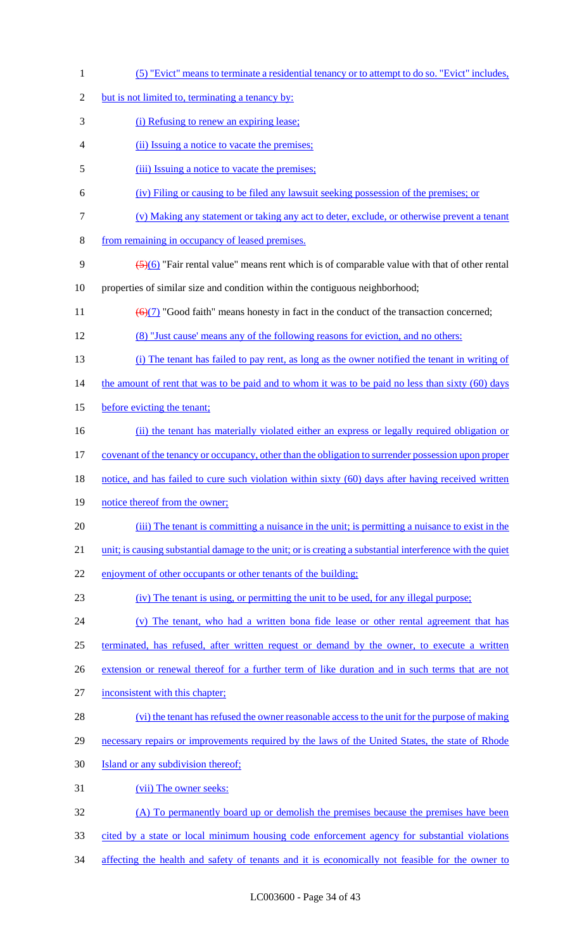(5) "Evict" means to terminate a residential tenancy or to attempt to do so. "Evict" includes, 2 but is not limited to, terminating a tenancy by: (i) Refusing to renew an expiring lease; (ii) Issuing a notice to vacate the premises; 5 (iii) Issuing a notice to vacate the premises; (iv) Filing or causing to be filed any lawsuit seeking possession of the premises; or (v) Making any statement or taking any act to deter, exclude, or otherwise prevent a tenant from remaining in occupancy of leased premises.  $\left(5\right)(6)$  "Fair rental value" means rent which is of comparable value with that of other rental properties of similar size and condition within the contiguous neighborhood;  $\left(\frac{6}{7}\right)$  "Good faith" means honesty in fact in the conduct of the transaction concerned; (8) "Just cause' means any of the following reasons for eviction, and no others: (i) The tenant has failed to pay rent, as long as the owner notified the tenant in writing of 14 the amount of rent that was to be paid and to whom it was to be paid no less than sixty (60) days 15 before evicting the tenant; (ii) the tenant has materially violated either an express or legally required obligation or covenant of the tenancy or occupancy, other than the obligation to surrender possession upon proper 18 notice, and has failed to cure such violation within sixty (60) days after having received written 19 notice thereof from the owner; (iii) The tenant is committing a nuisance in the unit; is permitting a nuisance to exist in the 21 unit; is causing substantial damage to the unit; or is creating a substantial interference with the quiet 22 enjoyment of other occupants or other tenants of the building; (iv) The tenant is using, or permitting the unit to be used, for any illegal purpose; (v) The tenant, who had a written bona fide lease or other rental agreement that has terminated, has refused, after written request or demand by the owner, to execute a written 26 extension or renewal thereof for a further term of like duration and in such terms that are not inconsistent with this chapter; (vi) the tenant has refused the owner reasonable access to the unit for the purpose of making 29 necessary repairs or improvements required by the laws of the United States, the state of Rhode **Island or any subdivision thereof**; (vii) The owner seeks: (A) To permanently board up or demolish the premises because the premises have been cited by a state or local minimum housing code enforcement agency for substantial violations 34 affecting the health and safety of tenants and it is economically not feasible for the owner to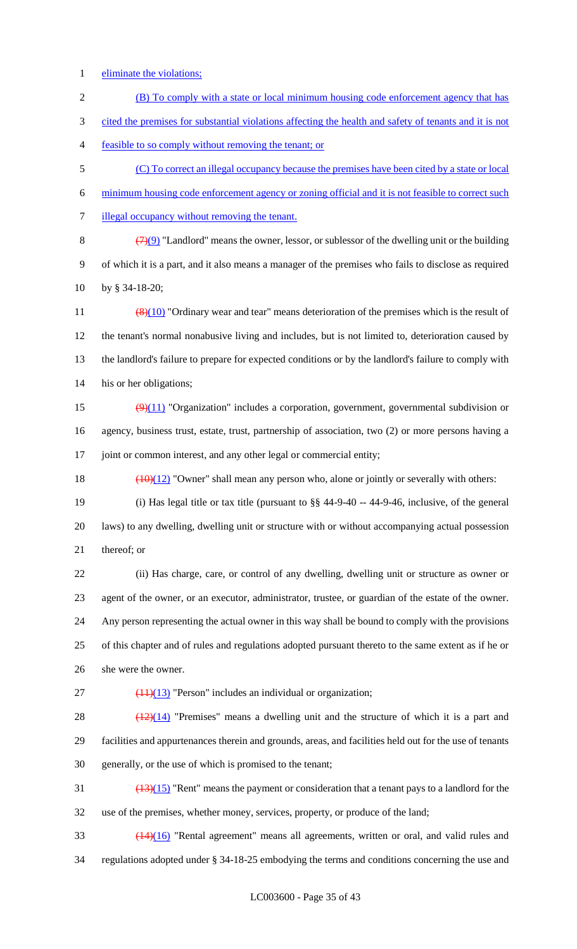- eliminate the violations;
- (B) To comply with a state or local minimum housing code enforcement agency that has cited the premises for substantial violations affecting the health and safety of tenants and it is not feasible to so comply without removing the tenant; or (C) To correct an illegal occupancy because the premises have been cited by a state or local minimum housing code enforcement agency or zoning official and it is not feasible to correct such
- illegal occupancy without removing the tenant.

8  $(7)(9)$  "Landlord" means the owner, lessor, or sublessor of the dwelling unit or the building of which it is a part, and it also means a manager of the premises who fails to disclose as required by § 34-18-20;

 $\left(\frac{8}{10}\right)$  "Ordinary wear and tear" means deterioration of the premises which is the result of the tenant's normal nonabusive living and includes, but is not limited to, deterioration caused by the landlord's failure to prepare for expected conditions or by the landlord's failure to comply with his or her obligations;

- 15  $\left(\frac{9}{11}\right)$  "Organization" includes a corporation, government, governmental subdivision or agency, business trust, estate, trust, partnership of association, two (2) or more persons having a 17 joint or common interest, and any other legal or commercial entity;
- 18  $\left(\frac{(10)(12)}{(10)(12)}\right)$  "Owner" shall mean any person who, alone or jointly or severally with others:
- (i) Has legal title or tax title (pursuant to §§ 44-9-40 -- 44-9-46, inclusive, of the general laws) to any dwelling, dwelling unit or structure with or without accompanying actual possession thereof; or
- (ii) Has charge, care, or control of any dwelling, dwelling unit or structure as owner or agent of the owner, or an executor, administrator, trustee, or guardian of the estate of the owner. Any person representing the actual owner in this way shall be bound to comply with the provisions of this chapter and of rules and regulations adopted pursuant thereto to the same extent as if he or she were the owner.
- 

27  $(11)(13)$  "Person" includes an individual or organization;

28  $\left(\frac{(12)(14)}{2} \right)$  "Premises" means a dwelling unit and the structure of which it is a part and facilities and appurtenances therein and grounds, areas, and facilities held out for the use of tenants generally, or the use of which is promised to the tenant;

 $\frac{(13)(15)}{20}$  "Rent" means the payment or consideration that a tenant pays to a landlord for the use of the premises, whether money, services, property, or produce of the land;

 (14)(16) "Rental agreement" means all agreements, written or oral, and valid rules and regulations adopted under § 34-18-25 embodying the terms and conditions concerning the use and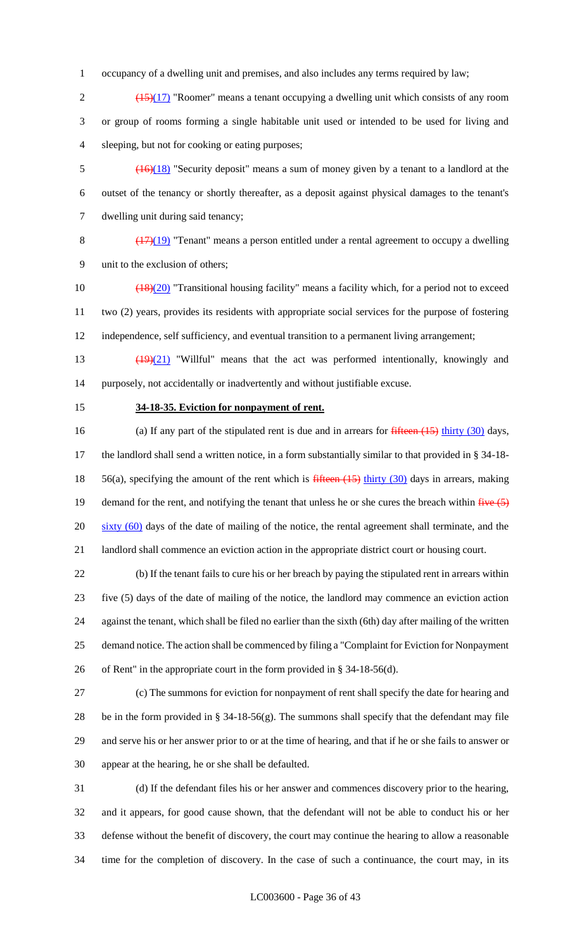occupancy of a dwelling unit and premises, and also includes any terms required by law;

2  $\left(\frac{(15)(17)}{2}\right)$  "Roomer" means a tenant occupying a dwelling unit which consists of any room or group of rooms forming a single habitable unit used or intended to be used for living and sleeping, but not for cooking or eating purposes;

 (16)(18) "Security deposit" means a sum of money given by a tenant to a landlord at the outset of the tenancy or shortly thereafter, as a deposit against physical damages to the tenant's dwelling unit during said tenancy;

 (17)(19) "Tenant" means a person entitled under a rental agreement to occupy a dwelling unit to the exclusion of others;

10 (18)(20) "Transitional housing facility" means a facility which, for a period not to exceed two (2) years, provides its residents with appropriate social services for the purpose of fostering independence, self sufficiency, and eventual transition to a permanent living arrangement;

 (19)(21) "Willful" means that the act was performed intentionally, knowingly and purposely, not accidentally or inadvertently and without justifiable excuse.

#### **34-18-35. Eviction for nonpayment of rent.**

16 (a) If any part of the stipulated rent is due and in arrears for fifteen (15) thirty (30) days, the landlord shall send a written notice, in a form substantially similar to that provided in § 34-18- 18 56(a), specifying the amount of the rent which is fifteen (15) thirty (30) days in arrears, making 19 demand for the rent, and notifying the tenant that unless he or she cures the breach within  $f^2$ 20 sixty (60) days of the date of mailing of the notice, the rental agreement shall terminate, and the landlord shall commence an eviction action in the appropriate district court or housing court.

 (b) If the tenant fails to cure his or her breach by paying the stipulated rent in arrears within five (5) days of the date of mailing of the notice, the landlord may commence an eviction action against the tenant, which shall be filed no earlier than the sixth (6th) day after mailing of the written demand notice. The action shall be commenced by filing a "Complaint for Eviction for Nonpayment of Rent" in the appropriate court in the form provided in § 34-18-56(d).

 (c) The summons for eviction for nonpayment of rent shall specify the date for hearing and be in the form provided in § 34-18-56(g). The summons shall specify that the defendant may file and serve his or her answer prior to or at the time of hearing, and that if he or she fails to answer or appear at the hearing, he or she shall be defaulted.

 (d) If the defendant files his or her answer and commences discovery prior to the hearing, and it appears, for good cause shown, that the defendant will not be able to conduct his or her defense without the benefit of discovery, the court may continue the hearing to allow a reasonable time for the completion of discovery. In the case of such a continuance, the court may, in its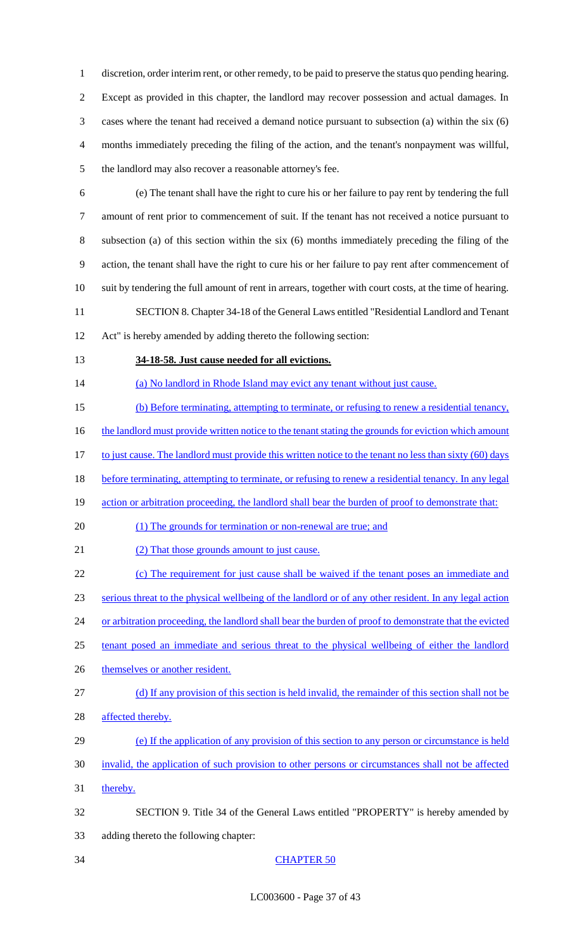discretion, order interim rent, or other remedy, to be paid to preserve the status quo pending hearing. Except as provided in this chapter, the landlord may recover possession and actual damages. In cases where the tenant had received a demand notice pursuant to subsection (a) within the six (6) months immediately preceding the filing of the action, and the tenant's nonpayment was willful, the landlord may also recover a reasonable attorney's fee.

- (e) The tenant shall have the right to cure his or her failure to pay rent by tendering the full amount of rent prior to commencement of suit. If the tenant has not received a notice pursuant to subsection (a) of this section within the six (6) months immediately preceding the filing of the action, the tenant shall have the right to cure his or her failure to pay rent after commencement of suit by tendering the full amount of rent in arrears, together with court costs, at the time of hearing. SECTION 8. Chapter 34-18 of the General Laws entitled "Residential Landlord and Tenant
- Act" is hereby amended by adding thereto the following section:
- 

### **34-18-58. Just cause needed for all evictions.**

14 (a) No landlord in Rhode Island may evict any tenant without just cause.

(b) Before terminating, attempting to terminate, or refusing to renew a residential tenancy,

16 the landlord must provide written notice to the tenant stating the grounds for eviction which amount

17 to just cause. The landlord must provide this written notice to the tenant no less than sixty (60) days

18 before terminating, attempting to terminate, or refusing to renew a residential tenancy. In any legal

19 action or arbitration proceeding, the landlord shall bear the burden of proof to demonstrate that:

- 20 (1) The grounds for termination or non-renewal are true; and
- 21 (2) That those grounds amount to just cause.

22 (c) The requirement for just cause shall be waived if the tenant poses an immediate and serious threat to the physical wellbeing of the landlord or of any other resident. In any legal action 24 or arbitration proceeding, the landlord shall bear the burden of proof to demonstrate that the evicted

- tenant posed an immediate and serious threat to the physical wellbeing of either the landlord
- 26 themselves or another resident.
- (d) If any provision of this section is held invalid, the remainder of this section shall not be 28 affected thereby.
- (e) If the application of any provision of this section to any person or circumstance is held
- invalid, the application of such provision to other persons or circumstances shall not be affected
- 31 thereby.
- SECTION 9. Title 34 of the General Laws entitled "PROPERTY" is hereby amended by adding thereto the following chapter:
- 

# CHAPTER 50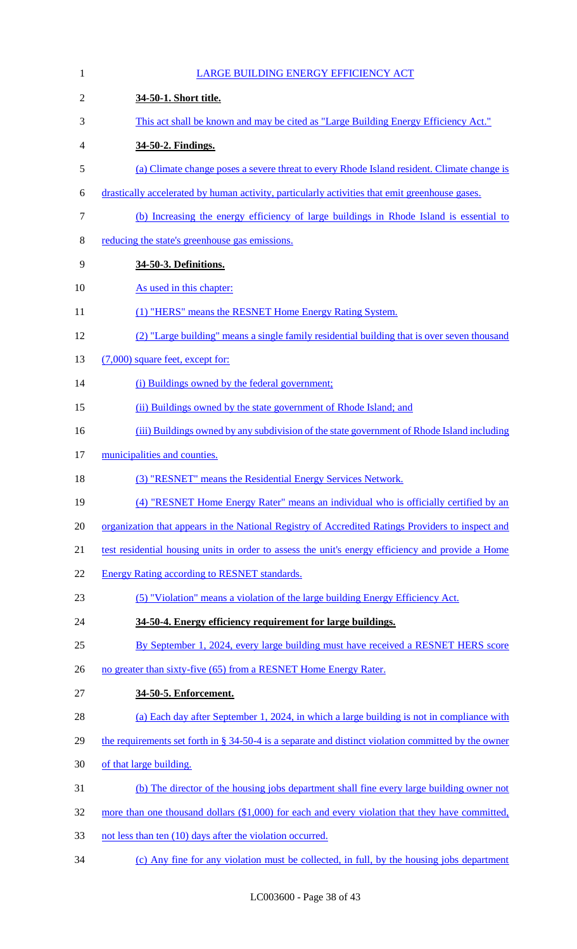| $\mathbf{1}$   | <b>LARGE BUILDING ENERGY EFFICIENCY ACT</b>                                                            |
|----------------|--------------------------------------------------------------------------------------------------------|
| $\overline{2}$ | 34-50-1. Short title.                                                                                  |
| 3              | This act shall be known and may be cited as "Large Building Energy Efficiency Act."                    |
| 4              | 34-50-2. Findings.                                                                                     |
| 5              | (a) Climate change poses a severe threat to every Rhode Island resident. Climate change is             |
| 6              | drastically accelerated by human activity, particularly activities that emit greenhouse gases.         |
| $\tau$         | (b) Increasing the energy efficiency of large buildings in Rhode Island is essential to                |
| 8              | reducing the state's greenhouse gas emissions.                                                         |
| 9              | 34-50-3. Definitions.                                                                                  |
| 10             | As used in this chapter:                                                                               |
| 11             | (1) "HERS" means the RESNET Home Energy Rating System.                                                 |
| 12             | (2) "Large building" means a single family residential building that is over seven thousand            |
| 13             | $(7,000)$ square feet, except for:                                                                     |
| 14             | (i) Buildings owned by the federal government;                                                         |
| 15             | (ii) Buildings owned by the state government of Rhode Island; and                                      |
| 16             | (iii) Buildings owned by any subdivision of the state government of Rhode Island including             |
| 17             | municipalities and counties.                                                                           |
| 18             | (3) "RESNET" means the Residential Energy Services Network.                                            |
| 19             | (4) "RESNET Home Energy Rater" means an individual who is officially certified by an                   |
| 20             | organization that appears in the National Registry of Accredited Ratings Providers to inspect and      |
| 21             | test residential housing units in order to assess the unit's energy efficiency and provide a Home      |
| 22             | <b>Energy Rating according to RESNET standards.</b>                                                    |
| 23             | (5) "Violation" means a violation of the large building Energy Efficiency Act.                         |
| 24             | 34-50-4. Energy efficiency requirement for large buildings.                                            |
| 25             | By September 1, 2024, every large building must have received a RESNET HERS score                      |
| 26             | no greater than sixty-five (65) from a RESNET Home Energy Rater.                                       |
| 27             | 34-50-5. Enforcement.                                                                                  |
| 28             | (a) Each day after September 1, 2024, in which a large building is not in compliance with              |
| 29             | the requirements set forth in $\S$ 34-50-4 is a separate and distinct violation committed by the owner |
| 30             | of that large building.                                                                                |
| 31             | (b) The director of the housing jobs department shall fine every large building owner not              |
| 32             | more than one thousand dollars (\$1,000) for each and every violation that they have committed,        |
| 33             | not less than ten (10) days after the violation occurred.                                              |
| 34             | (c) Any fine for any violation must be collected, in full, by the housing jobs department              |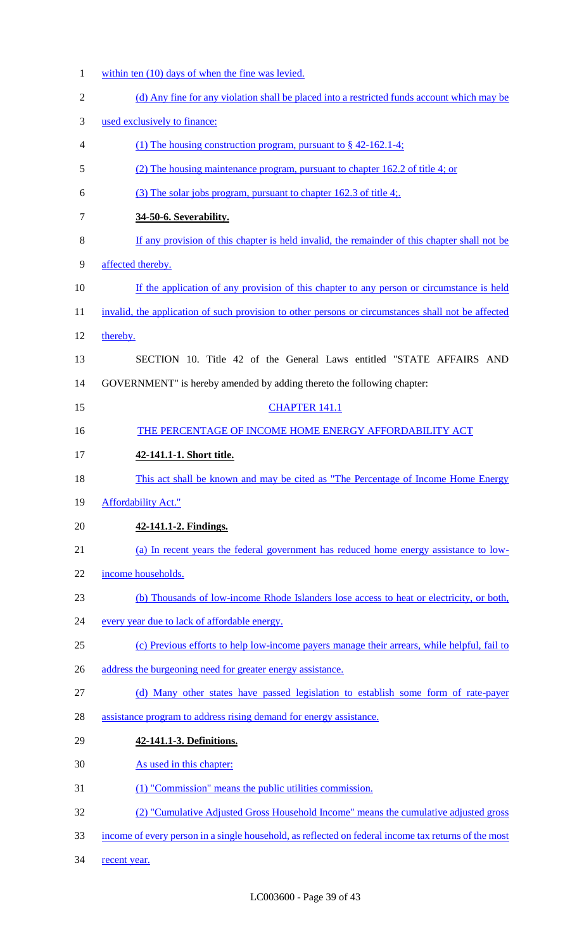- within ten (10) days of when the fine was levied. 2 (d) Any fine for any violation shall be placed into a restricted funds account which may be used exclusively to finance: (1) The housing construction program, pursuant to § 42-162.1-4; (2) The housing maintenance program, pursuant to chapter 162.2 of title 4; or (3) The solar jobs program, pursuant to chapter 162.3 of title 4;. **34-50-6. Severability.**  If any provision of this chapter is held invalid, the remainder of this chapter shall not be affected thereby. 10 If the application of any provision of this chapter to any person or circumstance is held 11 invalid, the application of such provision to other persons or circumstances shall not be affected thereby. SECTION 10. Title 42 of the General Laws entitled "STATE AFFAIRS AND GOVERNMENT" is hereby amended by adding thereto the following chapter: 15 CHAPTER 141.1 16 THE PERCENTAGE OF INCOME HOME ENERGY AFFORDABILITY ACT **42-141.1-1. Short title.**  18 This act shall be known and may be cited as "The Percentage of Income Home Energy Affordability Act." **42-141.1-2. Findings.**  (a) In recent years the federal government has reduced home energy assistance to low- income households. (b) Thousands of low-income Rhode Islanders lose access to heat or electricity, or both, every year due to lack of affordable energy. (c) Previous efforts to help low-income payers manage their arrears, while helpful, fail to 26 address the burgeoning need for greater energy assistance. (d) Many other states have passed legislation to establish some form of rate-payer assistance program to address rising demand for energy assistance. **42-141.1-3. Definitions.**  As used in this chapter: (1) "Commission" means the public utilities commission. (2) "Cumulative Adjusted Gross Household Income" means the cumulative adjusted gross income of every person in a single household, as reflected on federal income tax returns of the most
- 34 recent year.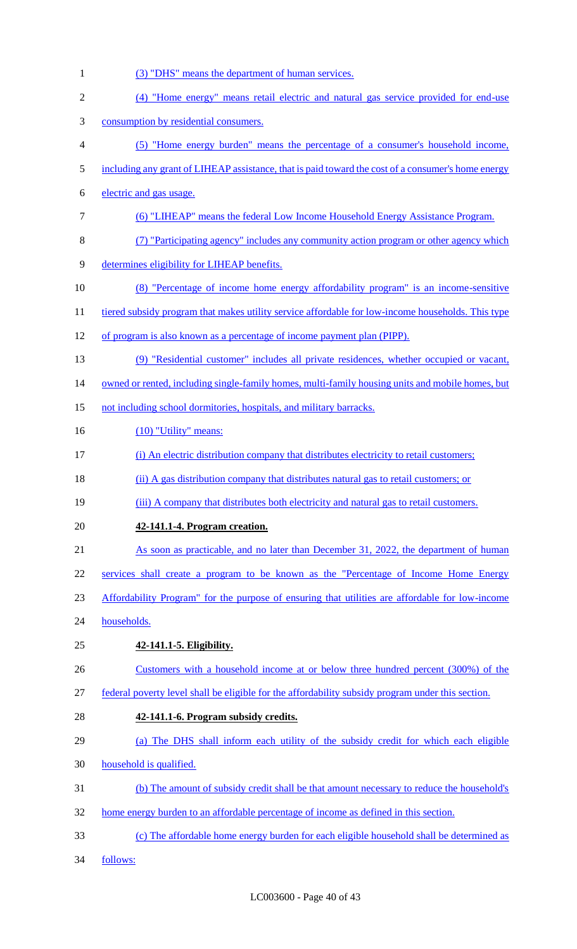1 (3) "DHS" means the department of human services. (4) "Home energy" means retail electric and natural gas service provided for end-use consumption by residential consumers. (5) "Home energy burden" means the percentage of a consumer's household income, including any grant of LIHEAP assistance, that is paid toward the cost of a consumer's home energy electric and gas usage. (6) "LIHEAP" means the federal Low Income Household Energy Assistance Program. (7) "Participating agency" includes any community action program or other agency which determines eligibility for LIHEAP benefits. (8) "Percentage of income home energy affordability program" is an income-sensitive 11 tiered subsidy program that makes utility service affordable for low-income households. This type of program is also known as a percentage of income payment plan (PIPP). (9) "Residential customer" includes all private residences, whether occupied or vacant, 14 owned or rented, including single-family homes, multi-family housing units and mobile homes, but 15 not including school dormitories, hospitals, and military barracks. 16 (10) "Utility" means: (i) An electric distribution company that distributes electricity to retail customers; (ii) A gas distribution company that distributes natural gas to retail customers; or (iii) A company that distributes both electricity and natural gas to retail customers. **42-141.1-4. Program creation.**  21 As soon as practicable, and no later than December 31, 2022, the department of human services shall create a program to be known as the "Percentage of Income Home Energy Affordability Program" for the purpose of ensuring that utilities are affordable for low-income households. **42-141.1-5. Eligibility.**  Customers with a household income at or below three hundred percent (300%) of the federal poverty level shall be eligible for the affordability subsidy program under this section. **42-141.1-6. Program subsidy credits.**  (a) The DHS shall inform each utility of the subsidy credit for which each eligible household is qualified. (b) The amount of subsidy credit shall be that amount necessary to reduce the household's home energy burden to an affordable percentage of income as defined in this section. (c) The affordable home energy burden for each eligible household shall be determined as follows: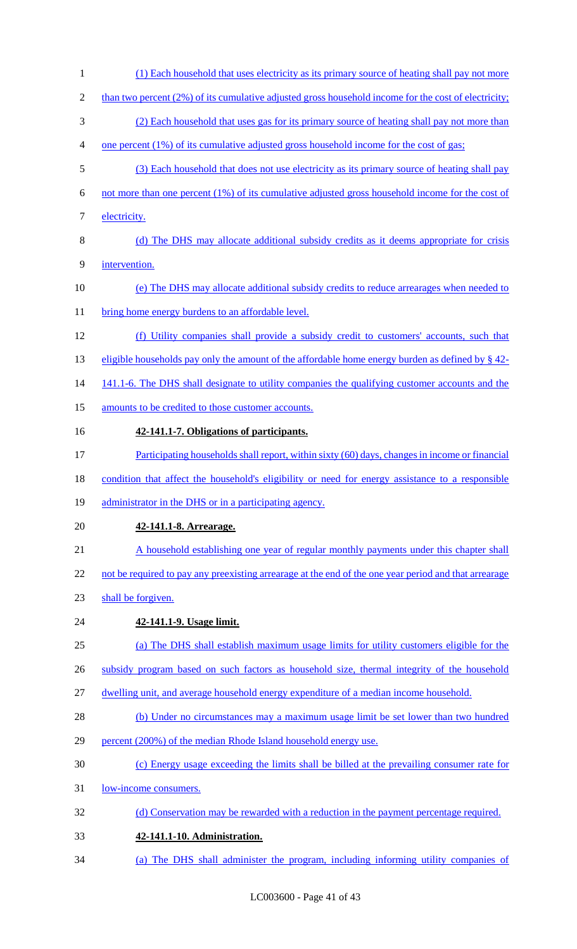(1) Each household that uses electricity as its primary source of heating shall pay not more 2 than two percent (2%) of its cumulative adjusted gross household income for the cost of electricity; (2) Each household that uses gas for its primary source of heating shall pay not more than one percent (1%) of its cumulative adjusted gross household income for the cost of gas; (3) Each household that does not use electricity as its primary source of heating shall pay not more than one percent (1%) of its cumulative adjusted gross household income for the cost of 7 electricity. 8 (d) The DHS may allocate additional subsidy credits as it deems appropriate for crisis intervention. (e) The DHS may allocate additional subsidy credits to reduce arrearages when needed to 11 bring home energy burdens to an affordable level. (f) Utility companies shall provide a subsidy credit to customers' accounts, such that 13 eligible households pay only the amount of the affordable home energy burden as defined by § 42-14 141.1-6. The DHS shall designate to utility companies the qualifying customer accounts and the 15 amounts to be credited to those customer accounts. **42-141.1-7. Obligations of participants.**  17 Participating households shall report, within sixty (60) days, changes in income or financial condition that affect the household's eligibility or need for energy assistance to a responsible 19 administrator in the DHS or in a participating agency. **42-141.1-8. Arrearage.**  21 A household establishing one year of regular monthly payments under this chapter shall 22 not be required to pay any preexisting arrearage at the end of the one year period and that arrearage shall be forgiven. **42-141.1-9. Usage limit.**  (a) The DHS shall establish maximum usage limits for utility customers eligible for the subsidy program based on such factors as household size, thermal integrity of the household dwelling unit, and average household energy expenditure of a median income household. (b) Under no circumstances may a maximum usage limit be set lower than two hundred percent (200%) of the median Rhode Island household energy use. (c) Energy usage exceeding the limits shall be billed at the prevailing consumer rate for low-income consumers. 32 (d) Conservation may be rewarded with a reduction in the payment percentage required. **42-141.1-10. Administration.**  (a) The DHS shall administer the program, including informing utility companies of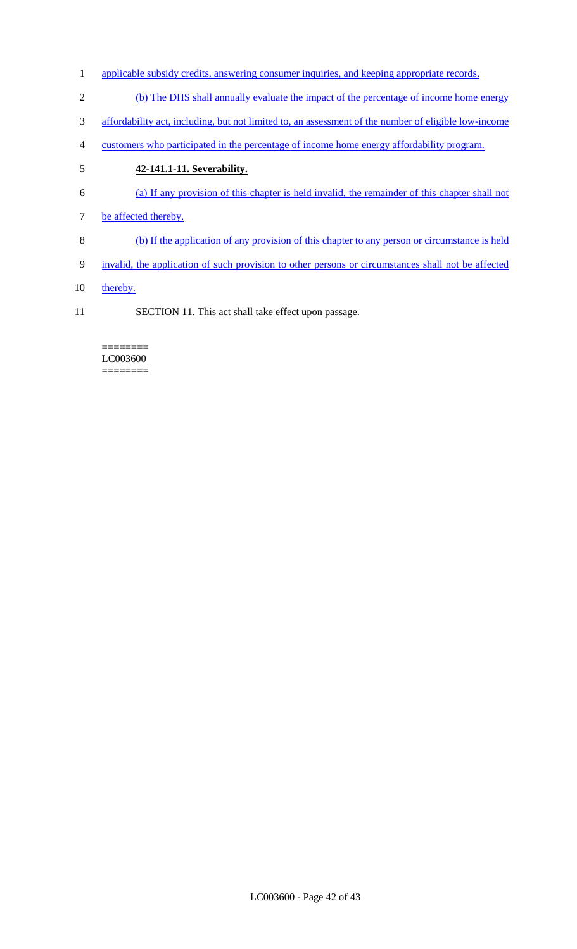- 1 applicable subsidy credits, answering consumer inquiries, and keeping appropriate records.
- 2 (b) The DHS shall annually evaluate the impact of the percentage of income home energy
- 3 affordability act, including, but not limited to, an assessment of the number of eligible low-income
- 4 customers who participated in the percentage of income home energy affordability program.
- 5 **42-141.1-11. Severability.**
- 6 (a) If any provision of this chapter is held invalid, the remainder of this chapter shall not
- 7 be affected thereby.
- 8 (b) If the application of any provision of this chapter to any person or circumstance is held
- 9 invalid, the application of such provision to other persons or circumstances shall not be affected
- 10 thereby.
- 11 SECTION 11. This act shall take effect upon passage.

#### ======== LC003600 ========